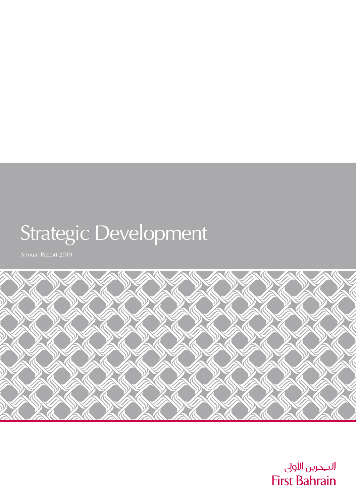# Strategic Development



البحرين الأولى **First Bahrain**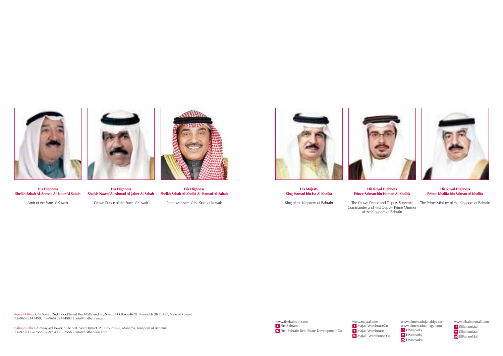www.majaal.com MajaalWarehouseCo MajaalWarehouse Majaal-Warehouse-Co.



www.elmercadojanabiya.com www.elmercadovillage.com f ElMercadoJ **ElMercadoJ C** ElMercadoJ

www.firstbahrain.com FirstBahrain First-Bahrain-Real-Estate-Development-Co. www.elbalconmall.com f ElBalconMall ElBalconMall **C** ElBalconMall

Kuwait Office City Tower, 2nd Floor,Khaled Ibn Al Waleed St., Sharq. PO Box 64679, Shuwaikh (B) 70457, State of Kuwait T (+965) 22414902 F (+965) 22414903 E info@firstbahrain.com





**His Highness Sheikh Sabah Al-Ahmad Al-Jaber Al-Sabah**

Amir of the State of Kuwait



**His Majesty King Hamad bin Isa Al Khalifa**

King of the Kingdom of Bahrain



**His Highness Sheikh Nawaf Al-Ahmad Al-Jaber Al-Sabah**

Crown Prince of the State of Kuwait

**His Royal Highness Prince Salman bin Hamad Al Khalifa**

The Crown Prince and Deputy Supreme Commander and First Deputy Prime Minister of the Kingdom of Bahrain



**His Highness Sheikh Sabah Al-Khalid Al-Hamad Al-Sabah**

Prime Minister of the State of Kuwait



**His Royal Highness Prince Khalifa bin Salman Al Khalifa**

The Prime Minister of the Kingdom of Bahrain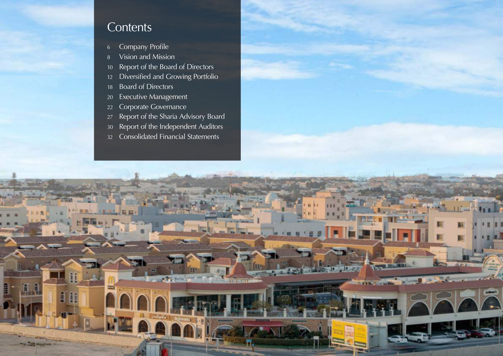

**FOR THE PR** 

## **Contents**

- Company Profile
- Vision and Mission
- 10 Report of the Board of Directors
- Diversified and Growing Portfolio
- Board of Directors

J.J

- Executive Management
- Corporate Governance
- Report of the Sharia Advisory Board
- Report of the Independent Auditors
- Consolidated Financial Statements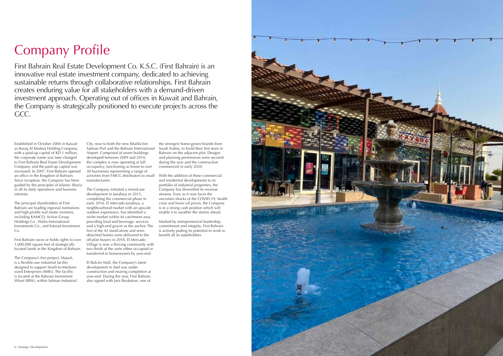

# Company Profile

First Bahrain Real Estate Development Co. K.S.C. (First Bahrain) is an innovative real estate investment company, dedicated to achieving sustainable returns through collaborative relationships. First Bahrain creates enduring value for all stakeholders with a demand-driven investment approach. Operating out of offices in Kuwait and Bahrain, the Company is strategically positioned to execute projects across the GCC.

Established in October 2004 in Kuwait as Baraq Al Khaleej Holding Company, with a paid-up capital of KD 1 million, the corporate name was later changed to First Bahrain Real Estate Development Company, and the paid-up capital was increased. In 2007, First Bahrain opened an office in the Kingdom of Bahrain. Since inception, the Company has been guided by the principles of Islamic Sharia in all its daily operations and business interests.

The principal shareholders of First Bahrain are leading regional institutions and high-profile real estate investors, including KAMCO, Action Group Holdings Co., Wafra International Investments Co., and Esterad Investment Co.

First Bahrain owns or holds rights to over 1,000,000 square feet of strategically located lands in the Kingdom of Bahrain.

The Company's first project, Majaal, is a flexible-use industrial facility designed to support Small-to-Mediumsized Enterprises (SMEs). The facility is located at the Bahrain Investment Wharf (BIW), within Salman Industrial

City, near to both the new Khalifa bin Salman Port and the Bahrain International Airport. Comprised of seven buildings developed between 2009 and 2014, the complex is now operating at full occupancy, functioning as home to over 30 businesses representing a range of activities from FMCG distributors to small manufacturers.

The Company initiated a mixed-use development in Janabiya in 2015, completing the commercial phase in early 2016. El Mercado Janabiya, a neighbourhood market with an upscale outdoor experience, has identified a niche market within its catchment area, providing food and beverage, services and a high-end grocer as the anchor. The first of the 42 stand-alone and semidetached homes were delivered to the off-plan buyers in 2018. El Mercado Village is now a thriving community with two thirds of the units either occupied or transferred to homeowners by year-end.

El Balcón Mall, the Company's latest development in Seef was under construction and nearing completion at year-end. During the year, First Bahrain also signed with Jarir Bookstore, one of

the strongest home-grown brands from Saudi Arabia, to build their first store in Bahrain on the adjacent plot. Designs and planning permissions were secured during the year and the construction commenced in early 2020.

With the addition of these commercial and residential developments to its portfolio of industrial properties, the Company has diversified its revenue streams. Even as it now faces the uncertain shocks of the COVID-19, health crisis and lower oil prices, the Company is in a strong cash position which will enable it to weather the storms ahead.

Marked by entrepreneurial leadership, commitment and integrity, First Bahrain is actively putting its potential to work to benefit all its stakeholders.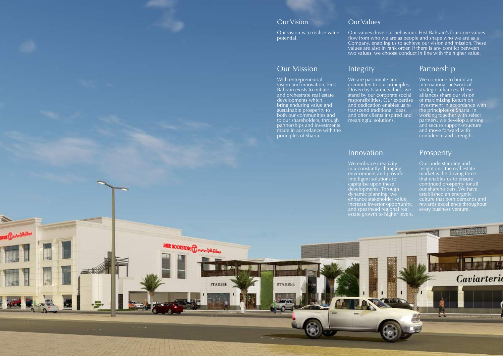

### Our Vision

Our vision is to realise value potential.

### Our Values

Our values drive our behaviour. First Bahrain's four core values flow from who we are as people and shape who we are as a Company, enabling us to achieve our vision and mission. These values are also in rank order. If there is any conflict between two values, we choose conduct in line with the higher value.

### Our Mission

With entrepreneurial vision and innovation, First Bahrain exists to initiate and orchestrate real estate developments which bring enduring value and sustainable prosperity to both our communities and to our shareholders, through partnerships and investments made in accordance with the principles of Sharia.

**STARBEE** 

**MER BOOKSTORE Developments** 

**STARBEE** 

## Integrity

We are passionate and committed to our principles. Driven by Islamic values, we stand by our corporate social responsibilities. Our expertise and dedication enables us to transcend traditional ideas, and offer clients inspired and meaningful solutions.

## Partnership

We continue to build an international network of strategic alliances. These alliances share our vision of maximizing Return on Investment in accordance with the principles of Sharia. In working together with select partners, we develop a strong and secure support-structure and move forward with confidence and strength.

## Innovation

We embrace creativity in a constantly changing environment and provide intelligent solutions to capitalise upon these developments. Through dynamic planning, we enhance stakeholder value, increase investor opportunity, and spearhead regional real estate growth to higher levels.

## Prosperity

Our understanding and insight into the real estate market is the driving force that enables us to ensure continued prosperity for all our shareholders. We have established an energetic culture that both demands and rewards excellence throughout every business venture.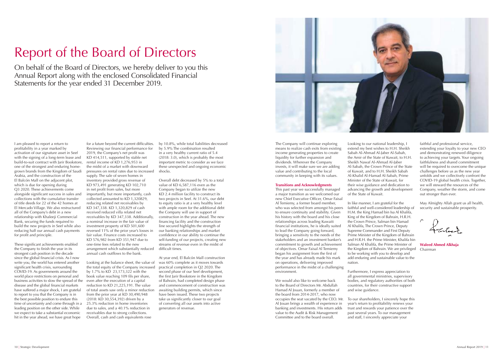

# Report of the Board of Directors

On behalf of the Board of Directors, we hereby deliver to you this Annual Report along with the enclosed Consolidated Financial Statements for the year ended 31 December 2019.

I am pleased to report a return to profitability in a year marked by activation of our signature asset in Seef with the signing of a long-term lease and build-to-suit contract with Jarir Bookstore, one of the strongest and enduring homegrown brands from the Kingdom of Saudi Arabia, and the construction of the El Balcón Mall on the adjacent plot, which is due for opening during Q3 2020. These achievements come alongside significant success in sales and collections with the cumulative transfer of title deeds for 22 of the 42 homes at El Mercado Village. We also restructured all of the Company's debt in a new relationship with Khaleeji Commercial Bank, securing the funds required to build the new projects in Seef while also reducing half our annual cash payments for profit and principle.

These significant achievements enabled the Company to finish the year in its strongest cash position in the decade since the global financial crisis. As I now write you, the world has entered another significant health crisis, surrounding COVID-19. As governments around the world place restrictions on personal and business activities to slow the spread of the disease and the global financial markets have suffered a major shock, I am grateful to report to you that the Company is in the best possible position to endure this time of uncertainty and come through in a leading position on the other side. While we expect to take a substantial economic hit in the year ahead, we have great hope

for a future beyond the current difficulties. Reviewing our financial performance for 2019, the Company's net profit was KD 414,511, supported by stable net rental income of KD 1,276,953 in the midst of a market with downward pressures on rental rates due to increased supply. The sale of seven homes in inventory provided gross revenue of KD 973,491 generating KD 102,710 in net profit from sales, but more importantly, but more importantly, cash collected amounted to KD 1,320829, reducing related net receivables by KD 347,338. KD 1,320,829 of cash received reduced villa related net receivables by KD 347,338. Additionally, a nominal increase in the fair value of investment property of KD 501,600 reversed 11% of the prior year's losses in fair value. Finance costs increased to KD 576,982 from KD 351,947 due to one-time fees related to the new arrangement which substantially reduced annual cash outflows to the bank.

Looking at the balance sheet, the value of the total equity of the Company increased by 1.7% to KD 23,173,322 with the book value reaching 109 fils per share, even after the execution of a capital reduction to KD 21,225,191. The value of total assets saw only a minor reduction from the prior year at KD 30,490,948 (2018: KD 30,554,392) driven by a 25.3% reduction in home inventories due to sales, and a 40.1% reduction in receivables due to strong collections. Overall, cash and cash equivalents rose

by 10.8%, while total liabilities decreased by 5.9% The combination resulted in a very healthy current ratio of 5.4 (2018: 3.0), which is probably the most important metric to consider as we face these unexpected and ongoing economic shocks.

Overall debt decreased by 5% to a total value of KD 6,587,116 even as the Company began to utilize the new KD 2.4 million facility to construct its two projects in Seef. At 31.6%, our debt to equity ratio is at a very healthy level with ample room for the additional debt the Company will use in support of construction in the year ahead. The new financing facility and the construction line secured highlights the strength of our banking relationships and market confidence in our ability to continue the self-funding of our projects, creating new streams of revenue even in the midst of difficult times.

May Almighty Allah grant us all health, security and sustainable prosperity.

At year end, El Balcón Mall construction was 60% complete as it moves towards practical completion in Q2 2020. The second phase of our Seef development, the first Jarir Bookstore in the Kingdom of Bahrain, had completed design phase and commencement of construction was awaiting building permits, which since have been issued. These two projects take us significantly closer to our goal of converting all our assets into active generators of revenue.

The Company will continue exploring means to realize cash exits from existing income generating properties to create liquidity for further expansion and dividends. Wherever the Company invests, it will make sure we are adding value and contributing to the local community in keeping with its values.

#### **Transitions and Acknowledgments**

This past year we successfully managed a major transition as we welcomed our new Chief Executive Officer, Omar Faisal Al Temiemy, a former board member, who was selected from amongst his peers to ensure continuity and stability. Given his history with the board and his close relationships across leading Kuwaiti financial institutions, he is ideally suited to lead the Company going forward, bringing a sensitivity to the needs of the stakeholders and an investment banker's commitment to growth and achievement of objectives. Omar Faisal Al Temiemy began his assignment from the first of the year and has already made his mark on operations, delivering improved performance in the midst of a challenging environment.

We would also like to welcome back to the Board of Directors Mr. Abdullah Hamad Al Jouan, formerly a member of the board from 2014-2017, who now occupies the seat vacated by the CEO. Mr. Al Jouan brings a wealth of experience in banking and investments. His return adds value to the Audit & Risk Management Committee and to the board overall.

Looking to our national leadership, I extend my best wishes to H.H. Sheikh Sabah Al-Ahmad Al-Jaber Al-Sabah, the Amir of the State of Kuwait, to H.H. Sheikh Nawaf Al-Ahmad Al-Jaber Al-Sabah, the Crown Prince of the State of Kuwait, and to H.H. Sheikh Sabah Al-Khalid Al-Hamad Al-Sabah, Prime Minister of the State of Kuwait, for their wise guidance and dedication to advancing the growth and development of the State of Kuwait.

In like manner, I am grateful for the faithful and well-considered leadership of H.M. the King Hamad bin Isa Al Khalifa, King of the Kingdom of Bahrain, H.R.H. the Crown Prince, Salman bin Hamad Al Khalifa, The Crown Prince, Deputy Supreme Commander and First Deputy Prime Minister of the Kingdom of Bahrain and H.R.H. the Prime Minister, Khalifa bin Salman Al Khalifa, the Prime Minister of the Kingdom of Bahrain. We are privileged Chairmanto be working with you to develop and add enduring and sustainable value to the nation.

Furthermore, I express appreciation to all governmental ministries, supervisory bodies, and regulatory authorities of both countries, for their constructive support and wise guidance.

To our shareholders, I sincerely hope this year's return to profitability renews your trust and rewards your patience over the past several years. To our management and staff, I sincerely appreciate your

faithful and professional service, extending your loyalty to your new CEO and demonstrating renewed diligence to achieving your targets. Your ongoing faithfulness and shared commitment will be required to overcome the unique challenges before us as the new year unfolds and we collectively confront the COVID-19 global health crisis. Together, we will steward the resources of the Company, weather the storm, and come out stronger than ever.

**Waleed Ahmed Alkhaja**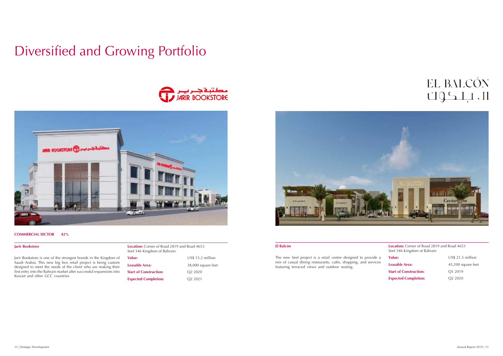## EL BALCÓN ال بلكوك

# Diversified and Growing Portfolio





#### **COMMERCIAL SECTOR 42%**

#### **Jarir Bookstore**

**El Balcón Location:** Corner of Road 2819 and Road 4653 Seef 346 Kingdom of Bahrain **Value:** US\$ 21.5 million

Jarir Bookstore is one of the strongest brands in the Kingdom of Saudi Arabia. This new big box retail project is being custom designed to meet the needs of the client who are making their first entry into the Bahrain market after successful expansions into Kuwait and other GCC countries.

| Location: Corner of Road 2819 and Road 4653<br>Seef 346 Kingdom of Bahrain: |                     |  |  |  |  |  |
|-----------------------------------------------------------------------------|---------------------|--|--|--|--|--|
| Value:                                                                      | $US$$ 15.2 million  |  |  |  |  |  |
| Leasable Area:                                                              | 38,000 square feet  |  |  |  |  |  |
| <b>Start of Construction:</b>                                               | O <sub>2</sub> 2020 |  |  |  |  |  |
| <b>Expected Completion:</b>                                                 | O <sub>2</sub> 2021 |  |  |  |  |  |



**Start of Construction:** Q1 2019 **Expected Completion:** Q2 2020

The new Seef project is a retail centre designed to provide a mix of casual dining restaurants, cafés, shopping, and services featuring terraced views and outdoor seating.

**Leasable Area:** 45,200 square feet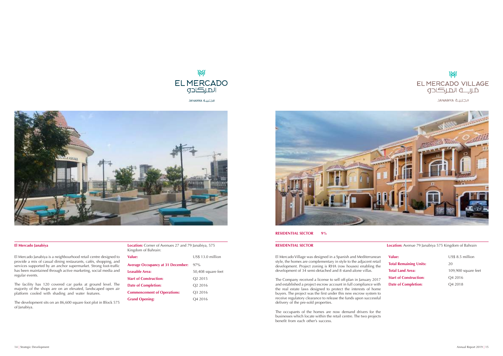

الجنبية JANABIYA



#### **El Mercado Janabiya**



الجنبية JANABIYA

**RESIDENTIAL SECTOR Location:** Avenue 79 Janabiya 575 Kingdom of Bahrain

#### **RESIDENTIAL SECTOR 9%**

El Mercado Village was designed in a Spanish and Mediterranean style, the homes are complementary in style to the adjacent retail development. Project zoning is RHA (row houses) enabling the development of 34 semi-detached and 8 stand-alone villas.

US\$ 8.5 million **Total Land Area:** 109,900 square feet **Start of Construction:** Q4 2016 **Date of Completion:** Q4 2018

The Company received a license to sell off-plan in January 2017 and established a project escrow account in full compliance with the real estate laws designed to protect the interests of home buyers. The project was the first under this new escrow system to receive regulatory clearance to release the funds upon successful delivery of the pre-sold properties.

The occupants of the homes are now demand drivers for the businesses which locate within the retail centre. The two projects benefit from each other's success.

| Value:                        | US |
|-------------------------------|----|
| <b>Total Remaining Units:</b> | 20 |
| <b>Total Land Area:</b>       | 10 |
| <b>Start of Construction:</b> | O۵ |
| <b>Date of Completion:</b>    | ∋  |
|                               |    |

| <b>Location:</b> Corner of Avenues 27 and 79 Janabiya, 575 |  |
|------------------------------------------------------------|--|
| Kingdom of Bahrain:                                        |  |

El Mercado Janabiya is a neighbourhood retail centre designed to provide a mix of casual dining restaurants, cafés, shopping, and services supported by an anchor supermarket. Strong foot-traffic has been maintained through active marketing, social media and regular events.

The facility has 120 covered car parks at ground level. The majority of the shops are on an elevated, landscaped open air platform cooled with shading and water features.

The development sits on an 86,600 square foot plot in Block 575 of Janabiya.

| Value:                                   | US\$ 13.0 million   |
|------------------------------------------|---------------------|
| <b>Average Occupancy at 31 December:</b> | $97\%$              |
| Leasable Area:                           | 50,408 square feet  |
| <b>Start of Construction:</b>            | O <sub>2</sub> 2015 |
| <b>Date of Completion:</b>               | O <sub>2</sub> 2016 |
| <b>Commencement of Operations:</b>       | O <sub>3</sub> 2016 |
| <b>Grand Opening:</b>                    | O4 2016             |

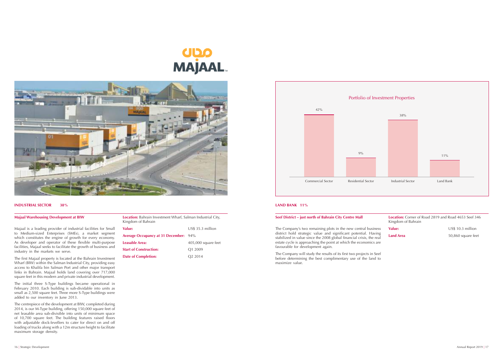**Majaal Warehousing Development at BIW Location:** Bahrain Investment Wharf, Salman Industrial City, Kingdom of Bahrain **Value:** US\$ 35.3 million

# **UDO<br>MAJAAL**



#### **INDUSTRIAL SECTOR 38%**

Majaal is a leading provider of industrial facilities for Small to Medium-sized Enterprises (SMEs), a market segment which constitutes the engine of growth for every economy. As developer and operator of these flexible multi-purpose facilities, Majaal seeks to facilitate the growth of business and industry in the markets we serve.

The first Majaal property is located at the Bahrain Investment Wharf (BIW) within the Salman Industrial City, providing easy access to Khalifa bin Salman Port and other major transport links in Bahrain. Majaal holds land covering over 717,000 square feet in this modern and private industrial development.

The initial three S-Type buildings became operational in February 2010. Each building is sub-dividable into units as small as 2,500 square feet. Three more S-Type buildings were added to our inventory in June 2013.

The centrepiece of the development at BIW, completed during 2014, is our M-Type building, offering 150,000 square feet of net leasable area sub-divisible into units of minimum space of 10,700 square feet. The building features raised floors with adjustable dock-levellers to cater for direct on and off loading of trucks along with a 12m structure height to facilitate maximum storage density.

| Average Occupancy at 31 December: 94% |                     |
|---------------------------------------|---------------------|
| Leasable Area:                        | 405,000 square feet |
| <b>Start of Construction:</b>         | O <sub>1</sub> 2009 |
| <b>Date of Completion:</b>            | O <sub>2</sub> 2014 |

#### **LAND BANK 11%**

#### **Seef District – just north of Bahrain City Centre Mall**

The Company's two remaining plots in the new central business district hold strategic value and significant potential. Having stabilized in value since the 2008 global financial crisis, the real estate cycle is approaching the point at which the economics are favourable for development again.

| <b>Location:</b> Corner of Road 2819 and Road 4653 Seef 346<br>Kingdom of Bahrain |                    |  |  |  |  |  |
|-----------------------------------------------------------------------------------|--------------------|--|--|--|--|--|
| Value:                                                                            | US\$ 10.3 million  |  |  |  |  |  |
| <b>Land Area</b>                                                                  | 50,860 square feet |  |  |  |  |  |
|                                                                                   |                    |  |  |  |  |  |

The Company will study the results of its first two projects in Seef before determining the best complimentary use of the land to maximize value.

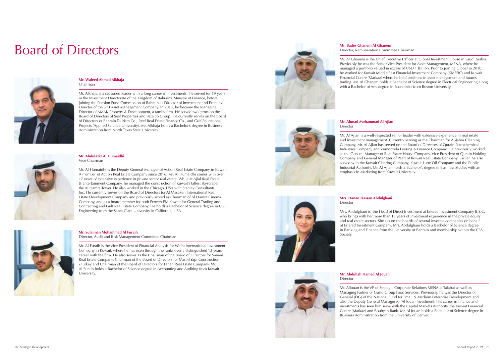# Board of Directors



#### **Mr. Waleed Ahmed Alkhaja** Chairman

Mr. Alkhaja is a seasoned leader with a long career in investments. He served for 19 years in the Investment Directorate of the Kingdom of Bahrain's Ministry of Finance, before joining the Pension Fund Commission of Bahrain as Director of Investment and Executive Director of the SIO Asset Management Company. In 2013, he became the Managing Director of AMAK Property & Development, a family firm. He served two terms on the Board of Directors of Seef Properties and Batelco Group. He currently serves on the Board of Directors of Bahrain Tourism Co., Reef Real Estate Finance Co., and Gulf Educational Projects (Applied Science University). Mr. Alkhaja holds a Bachelor's degree in Business Administration from North Texas State University.



#### **Mr. Bader Ghanem Al Ghanem** Director, Remuneration Committee Chairman

Mr. Al Ghanem is the Chief Executive Officer at Global Investment House in Saudi Arabia. Previously he was the Senior Vice President for Asset Management, MENA, where he managed a portfolio valued in excess of USD 1 Billion. Prior to joining Global in 2010, he worked for Kuwait Middle East Financial Investment Company (KMEFIC) and Kuwait Financial Centre (Markaz) where he held positions in asset management and futures trading. Mr. Al Ghanem holds a Bachelor of Science degree in Electrical Engineering along with a Bachelor of Arts degree in Economics from Boston University.

**Mr. Abdulaziz Al Humaidhi** Vice Chairman

### **Mrs. Hanan Hassan Abdulghani Director**

Mr. Al Humaidhi is the Deputy General Manager of Action Real Estate Company in Kuwait. A member of Action Real Estate Company since 2016, Mr. Al Humaidhi comes with over 17 years of extensive experience in private sector real estate. While at Ajial Real Estate & Entertainment Company, he managed the construction of Kuwait's tallest skyscraper, the Al Hamra Tower. He also worked in the Chicago, USA with Stanley Consultants, Inc. He currently serves on the Board of Directors for Al Masaken International Real Estate Development Company and previously served as Chairman of Al Hamra Cinema Company, and as a board member for both Ecovert FM Kuwait for General Trading and Contracting and Gulf Real Estate Company. He holds a Bachelor of Science degree in Civil Engineering from the Santa Clara University in California, USA.



#### **Mr. Abdullah Hamad Al Jouan Director**

#### **Mr. Ahmad Mohammad Al Ajlan** Director

Mr. Al Ajlan is a well-respected senior leader with extensive experience in real estate and investment management. Currently serving as the Chairman for Al-Jahra Cleaning Company, Mr. Al Ajlan has served on the Board of Directors of Qurain Petrochemical Industries Company and Zumorroda Leasing & Finance Company. He previously worked as the General Manager of Real Estate House Company, Vice President of Qurain Holding Company and General Manager of Pearl of Kuwait Real Estate Company. Earlier, he also served with the Kuwait Clearing Company, Kuwait Lube Oil Company and the Public Industrial Authority. Mr. Al Ajlan holds a Bachelor's degree in Business Studies with an emphasis in Marketing from Kuwait University.

**Mr. Sulaiman Mohammad Al Furaih**

Director, Audit and Risk Management Committee Chairman

Mr. Al Furaih is the Vice President of Financial Analysis for Wafra International Investment Company in Kuwait, where he has risen through the ranks over a distinguished 13 years career with the firm. He also serves as the Chairman of the Board of Directors for Sanam Real Estate Company, Chairman of the Board of Directors for Marbil Yapi Construction - Turkey and Chairman of the Board of Directors for Fanan Real Estate Company. Mr. Al Furaih holds a Bachelor of Science degree in Accounting and Auditing from Kuwait University.



Mrs. Abdulghani is the Head of Direct Investment at Esterad Investment Company B.S.C. who brings with her more than 13 years of investment experience in the private equity and real estate sectors. She sits on the boards of several investee companies on behalf of Esterad Investment Company. Mrs. Abdulghani holds a Bachelor of Science degree in Banking and Finance from the University of Bahrain and membership within the CFA Society.

Mr. AlJouan is the VP of Strategic Corporate Relations MENA at Talabat as well as Managing Partner of Gusto Group Food Services. Previously, he was the Director of General (DG) of the National Fund for Small & Medium Enterprise Development and also the Deputy General Manager for Al Jouan Investment. His career in finance and investments has seen him serve with the Capital Markets Authority, the Kuwait Financial Centre (Markaz) and Boubyan Bank. Mr. Al Jouan holds a Bachelor of Science degree in Business Administration from the University of Denver.

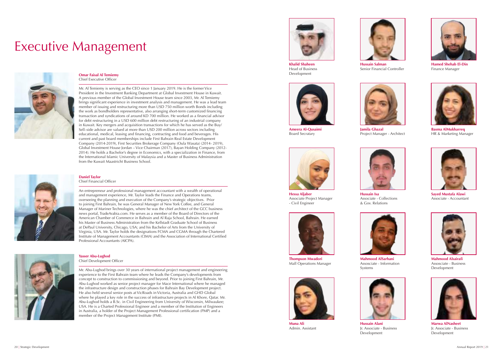**Yasser Abu-Lughod** Chief Development Officer

Mr. Abu-Lughod brings over 30 years of international project management and engineering experience to the First Bahrain team where he leads the Company's developments from concept to construction to commissioning and beyond. Prior to joining First Bahrain, Mr. Abu-Lughod worked as senior project manager for Mace International where he managed the infrastructure design and construction phases for Bahrain Bay Development project. He also held several senior posts at VicRoads in Victoria, Australia and GHD Global where he played a key role in the success of infrastructure projects in Al Khore, Qatar. Mr. Abu-Lughod holds a B.Sc. in Civil Engineering from University of Wisconsin, Milwaukee; USA. He is a Charted Professional Engineer and a member of the Institution of Engineers in Australia, a holder of the Project Management Professional certification (PMP) and a member of the Project Management Institute (PMI).

#### **Daniel Taylor** Chief Financial Officer

An entrepreneur and professional management accountant with a wealth of operational and management experience, Mr. Taylor leads the Finance and Operations teams, overseeing the planning and execution of the Company's strategic objectives. Prior to joining First Bahrain, he was General Manager of New York Coffee, and General Manager of Mariner Technologies, where he was the chief architect of the GCC business news portal, TradeArabia.com. He serves as a member of the Board of Directors of the American Chamber of Commerce in Bahrain and Al Raja School, Bahrain. He earned his Master of Business Administration from the Kellstadt Graduate School of Business at DePaul University, Chicago, USA; and his Bachelor of Arts from the University of Virginia, USA. Mr. Taylor holds the designations FCMA and CGMA through the Chartered Institute of Management Accountants (CIMA) and the Association of International Certified



Professional Accountants (AICPA).

**Omar Faisal Al Temiemy**  Chief Executive Officer

Mr. Al Temiemy is serving as the CEO since 1 January 2019. He is the former Vice President in the Investment Banking Department at Global Investment House in Kuwait. A previous member of the Global Investment House team since 2003, Mr. Al Temiemy brings significant experience in investment analysis and management. He was a lead team member of issuing and restructuring more than USD 750 million worth Bonds including the work as bondholders representative, also arranging short-term customized financing transaction and syndications of around KD 700 million. He worked as a financial advisor for debt restructuring in a USD 600 million debt restructuring of an industrial company in Kuwait. Key mergers and acquisition transactions for which he has served as the Buy/ Sell–side advisor are valued at more than USD 200 million across sectors including educational, medical, leasing and financing, contracting and food and beverages. His current and past board memberships include First Bahrain Real Estate Development Company (2014-2019), First Securities Brokerage Company (Oula Wasata) (2014- 2019), Global Investment House Jordan – Vice Chairman (2017), Bayan Holding Company (2012- 2014). He holds a Bachelor's degree in Economics, with a specialization in Finance, from the International Islamic University of Malaysia and a Master of Business Administration from the Kuwait Maastricht Business School.





**Hamed Shehab El-Din**  Finance Manager



**Khalid Shaheen**  Head of Business Development





**Hussain Alani**  Jr. Associate - Business Development

**Hussain Salman**  Senior Financial Controller



Project Manager - Architect





**Marwa AlNasheet**  Jr. Associate - Business Development



**Muna Ali** Admin. Assistant





**Basma AlMukharreq**  HR & Marketing Manager

**Ameera Al-Qusaimi**  Board Secratary





Associate - Collections & Gov. Relations



**Sayed Mustafa Alawi**  Associate - Accountant



**Hessa Aljaber**  Associate Project Manager - Civil Engineer



**Mahmood AlSarhani**  Assosciate - Information Systems



**Mahmood Alsairafi**  Assosciate - Business Development



**Thompson Mwadori**  Mall Operations Manager

# Executive Management

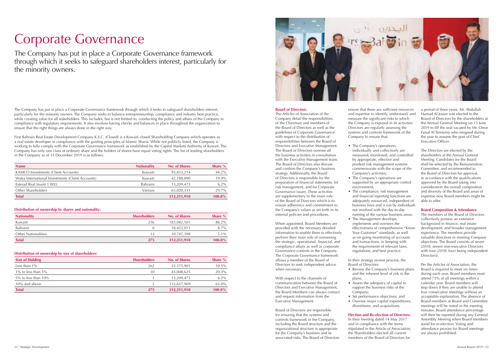# Corporate Governance

The Company has put in place a Corporate Governance framework through which it seeks to safeguard shareholders interest, particularly for the minority owners.

The Company has put in place a Corporate Governance framework through which it seeks to safeguard shareholders interest, particularly for the minority owners. The Company seeks to balance entrepreneurship, compliance and industry best practice, while creating value for all stakeholders. This includes, but is not limited to, conducting the policy and affairs of the Company in compliance with regulatory requirements. It also involves having checks and balances in place throughout the organization to ensure that the right things are always done in the right way.

First Bahrain Real Estate Development Company K.S.C. (Closed) is a Kuwaiti closed Shareholding Company which operates as a real estate developer in compliance with the guiding principles of Islamic Sharia. While not publicly listed, the Company is working to fully comply with the Corporate Governance framework as established by the Capital Markets Authority of Kuwait. The Company has only one class of ordinary share and the holders of shares have equal voting rights. The list of leading shareholders in the Company as of 31 December 2019 is as follows:

| <b>Name</b>                                       | <b>Nationality</b> | <b>No. of Shares</b> | Share $%$ |
|---------------------------------------------------|--------------------|----------------------|-----------|
| KAMCO Investments (Client Accounts)               | Kuwaiti            | 93,833,214           | 44.2%     |
| Wafra International Investments (Client Accounts) | Kuwaiti            | 42,188,890           | 19.9%     |
| Esterad Real Invest 1 WLL                         | <b>Bahraini</b>    | 13,209,475           | $6.2\%$   |
| Other Shareholders                                | Various            | 63,020,331           | 29.7%     |
| <b>Total</b>                                      |                    | 212,251,910          | $100.0\%$ |

#### **Distribution of ownership by shares and nationality:**

| <b>Nationality</b>         | <b>Shareholders</b> | <b>No. of Shares</b> | <b>Share</b> % |
|----------------------------|---------------------|----------------------|----------------|
| Kuwaiti                    | 256                 | 183,082,501          | 86.2%          |
| Bahraini                   | b                   | 18,422,011           | $8.7\%$        |
| <b>Other Nationalities</b> | 13                  | 10.747.398           | $5.1\%$        |
| <b>Total</b>               | 275                 | 212,251,910          | $100.0\%$      |

#### **Distribution of ownership by size of shareholders:**

| <b>Size of Holding</b>    | <b>Shareholders</b> | <b>No. of Shares</b> | Share $%$ |
|---------------------------|---------------------|----------------------|-----------|
| Less than $1\%$           | 262                 | 22,375,901           | 10.5%     |
| 1% to less than $5\%$     | 10                  | 43,008,625           | 20.3%     |
| $5\%$ to less than $10\%$ |                     | 13.209.475           | $6.2\%$   |
| 10% and above             |                     | 133,657,909          | 63.0%     |
| <b>Total</b>              | 275                 | 212,251,910          | $100.0\%$ |



#### **Board of Directors**

• The compliance, risk management and financial reporting functions are adequately resourced, independent of business lines and is run by individuals running of the various business areas. effectiveness of comprehensive "Know as on-going monitoring of accounts

- The Company's operations, individually and collectively are by appropriate, effective and prudent risk management systems Company's activities; • The Company's operations are
- environment;
- not involved with the day-to-day
- The Management develops, implements and oversees the Your Customer" standards, as well and transactions, in keeping with the requirements of relevant laws, regulations, and best practice.

• Review the Company's business plans and the inherent level of risk in the

The Articles of Association of the Company detail the responsibilities of the Chairman and members of the Board of Directors as well as the guidelines of Corporate Governance with respect to the distribution of responsibilities between the Board of Directors and Executive Management. The Board of Directors oversee all the business activities in consultation with the Executive Management team. The Board of Directors also discuss and confirm the Company's business strategy. Additionally, the Board of Directors is responsible for the preparation of financial statements, for risk management, and for Corporate Governance issues. These activities are supplementary to the main role of the Board of Directors which is to ensure adherence and commitment to the Company's values as set forth in its internal policies and procedures.

The members of the Board of Directors collectively possess an extensive background in finance, real estate development, and broader management experience. The members provide valuable directives in meeting Company objectives. The Board consists of seven (2018: seven) non-executive Directors with four (2018: four) being independent Director(s).

When appointed, Board Members are provided with the necessary detailed information to enable them to effectively perform their main role of overseeing the strategic, operational, financial, and compliance affairs as well as corporate Governance controls in the Company. The Corporate Governance framework allows a member of the Board of Directors to seek independent advice when necessary.

With respect to the channels of communication between the Board of Directors and Executive Management, the Board Members can always contact and request information from the Executive Management.

Board of Directors are responsible for ensuring that the systems and controls framework in the Company, including the Board structure and the organizational structure is appropriate for the Company's business and its associated risks. The Board of Directors

ensure that there are sufficient resources and expertise to identify, understand, and the Company is exposed in its activities.

measure the significant risks to which Directors are regularly assessing the systems and controls framework of the Company to ensure that:

measured, monitored, and controlled commensurate with the scope of the

supported by an appropriate control

In their strategy review process, the Board of Directors:

• Assess the adequacy of capital to support the business risks of the

- plans;
- Company;
	- Set performance objectives; and
	- divestitures, and acquisitions.

• Oversee major capital expenditures,

### **Election and Re-election of Directors:**

In their meeting dated 14 May 2017 and in compliance with the terms stipulated in the Article of Association, the Shareholders elected all current members of the Board of Directors for

a period of three years. Mr. Abdullah Hamad Al Jouan was elected to the Board of Directors by the shareholders at the Annual General Meeting on 13 June 2019 to fill the seat vacated by Mr. Omar Faisal Al Temiemy who resigned during the year to assume the post of Chief Executive Officer.

The Directors are elected by the shareholders at the Annual General Meeting. Candidates for the Board shall be selected by the Remuneration Committee, and recommended to the Board of Directors for approval, in accordance with the qualifications approved by the Board taking into consideration the overall composition and diversity of the Board and areas of expertise new Board members might be able to offer.

#### **Board Composition & Attendance**

Per the Articles of Association, the Board is required to meet six times during each year. Board members must attend 75% of all meetings within a calendar year. Board members will step down if they are unable to attend four consecutive meetings without an acceptable explanation. The absence of Board members at Board and Committee meetings will be noted in the meeting minutes. Board attendance percentage will then be reported during any General Assembly Meeting when Board members stand for re-election. Voting and attendance proxies for Board meetings are always prohibited.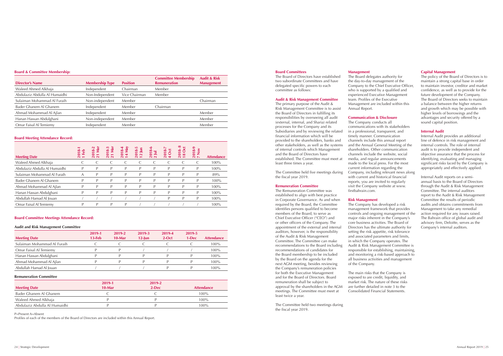#### 24 | Strategic Development Annual Report 2019 | 25

#### **Board & Committee Membership:**

| <b>Director's Name</b>        | <b>Membership Type</b> | <b>Position</b> | <b>Committee Membership</b><br><b>Remuneration</b> | <b>Audit &amp; Risk</b><br><b>Management</b> |
|-------------------------------|------------------------|-----------------|----------------------------------------------------|----------------------------------------------|
| Waleed Ahmed Alkhaja          | Independent            | Chairman        | Member                                             |                                              |
| Abdulaziz Abdulla Al Humaidhi | Non-Independent        | Vice Chairman   | Member                                             |                                              |
| Sulaiman Mohammad Al Furaih   | Non-independent        | Member          |                                                    | Chairman                                     |
| Bader Ghanem Al Ghanem        | Independent            | Member          | Chairman                                           |                                              |
| Ahmad Mohammad Al Ajlan       | Independent            | Member          |                                                    | Member                                       |
| Hanan Hassan Abdulghani       | Non-independent        | Member          |                                                    | Member                                       |
| Omar Faisal Al Temiemy        | Independent            | Member          |                                                    | Member                                       |

#### **Board Meeting Attendance Record:**

| <b>Meeting Date</b>           | 2018-1<br>Feb<br>$\overline{\phantom{0}}$ | Mar<br>$18-2$<br>ន $\overline{a}$ | $8-3$<br>Nar<br>ន $\overline{a}$ | $18 - 4$<br>May<br>$\overline{4}$<br>$\frac{1}{2}$ | $8-5$<br>S<br>$\mathbf{\Omega}$<br>$\frac{2}{12}$ | ڡ<br>$\infty$<br>Ξ<br>$\frac{201}{2}$ | ↖<br>2018-<br>ဝိ<br>↔ | $\infty$<br><b>Oct</b><br>ထံ<br>$\frac{201}{18}$ | 2018-9<br>7 Nov<br>$\frac{8}{2}$ | <b>Attendance</b> |
|-------------------------------|-------------------------------------------|-----------------------------------|----------------------------------|----------------------------------------------------|---------------------------------------------------|---------------------------------------|-----------------------|--------------------------------------------------|----------------------------------|-------------------|
| Waleed Ahmed Alkhaja          |                                           |                                   |                                  |                                                    |                                                   |                                       |                       |                                                  |                                  | 100%              |
| Abdulaziz Abdulla Al Humaidhi | D                                         | D                                 | D                                | D                                                  | P                                                 | P                                     | P                     | P                                                | P                                | 100%              |
| Sulaiman Mohammad Al Furaih   | A                                         |                                   | D                                | D                                                  | P                                                 | D                                     | P                     | D                                                | P                                | 89%               |
| Bader Ghanem Al Ghanem        | D                                         | P                                 | P                                | P                                                  | P                                                 | P                                     | P                     | P                                                | P                                | 100%              |
| Ahmad Mohammad Al Ajlan       | D                                         |                                   | D                                |                                                    | P                                                 | D                                     | D                     | D                                                | P                                | 100%              |
| Hanan Hassan Abdulghani       | D                                         | P                                 | P                                | P                                                  | P                                                 | P                                     | P                     | P                                                | P                                | 100%              |
| Abdullah Hamad Al Jouan       |                                           |                                   |                                  |                                                    |                                                   |                                       | D                     | D                                                | P                                | 100%              |
| Omar Faisal Al Temiemy        |                                           | P                                 | P                                | D                                                  |                                                   |                                       |                       |                                                  |                                  | 100%              |

#### **Board Committee Meetings Attendance Record:**

#### **Audit and Risk Management Committee**

The primary purpose of the Audit & Risk Management Committee is to assist the Board of Directors in fulfilling its responsibilities by overseeing all audit (external, internal, and Sharia) related processes for the Company and its Subsidiaries and by reviewing the related financial information which will be provided to the shareholders, banks and other stakeholders, as well as the systems of internal controls which Management and the Board of Directors have established. The Committee must meet at least three times a year.

| <b>Meeting Date</b>         | 2019-1<br>$13$ -Feb | 2019-2<br>$10-Mar$ | 2019-3<br>$12$ -Jun | 2019-4<br>$2-Oct$ | 2019-5<br>1-Dec | <b>Attendance</b> |
|-----------------------------|---------------------|--------------------|---------------------|-------------------|-----------------|-------------------|
| Sulaiman Mohammad Al Furaih |                     |                    |                     |                   |                 | 100%              |
| Omar Faisal Al Temiemy      | D                   |                    |                     |                   |                 | $100\%$           |
| Hanan Hassan Abdulghani     |                     |                    |                     |                   |                 | $100\%$           |
| Ahmad Mohammad Al Ajlan     |                     |                    |                     |                   |                 | $100\%$           |
| Abdullah Hamad Al Jouan     |                     |                    |                     |                   |                 | $100\%$           |

#### **Remuneration Committee**

| <b>Meeting Date</b>           | 2019-1<br>$10-Mar$ | 2019-2<br>$2-Dec$ | <b>Attendance</b> |
|-------------------------------|--------------------|-------------------|-------------------|
| Bader Ghanem Al Ghanem        |                    |                   | $100\%$           |
| Waleed Ahmed Alkhaja          |                    |                   | 100%              |
| Abdulaziz Abdulla Al Humaidhi |                    |                   | $100\%$           |

P=Present A=Absent

Profiles of each of the members of the Board of Directors are included within this Annual Report.

#### **Board Committees**

The Board of Directors have established two subordinate Committees and have delegated specific powers to each committee as follows:

#### **Audit & Risk Management Committee**

The Committee held five meetings during the fiscal year 2019.

#### **Remuneration Committee**

The Remuneration Committee was established to align with best practice in Corporate Governance. As and when required by the Board, the Committee identifies persons qualified to become members of the Board, to serve as Chief Executive Officer ("CEO") and or other officers of the Company. The appointment of the external and internal auditors, however, is the responsibility of the Audit & Risk Management Committee. The Committee can make recommendations to the Board including recommendations of candidates for the Board membership to be included by the Board on the agenda for the next AGM meeting, besides reviewing the Company's remuneration policies for both the Executive Management and for the Board of Directors. Board remuneration shall be subject to approval by the shareholders in the AGM meetings. The Committee must meet at least twice a year.

The Committee held two meetings during the fiscal year 2019.

**Management**

The Board delegates authority for the day-to-day management of the Company to the Chief Executive Officer, who is supported by a qualified and experienced Executive Management team. Profiles of the Executive Management are included within this

Annual Report.

#### **Communication & Disclosure**

The Company conducts all communications with its stakeholders in a professional, transparent, and timely manner. Communication channels include this annual report and the Annual General Meeting of the shareholders. Other communication channels include the website, social media, and regular announcements made to the local press. For the most current information regarding the Company, including relevant news along with current and historical financial reports, you are invited to regularly visit the Company website at www.

firstbahrain.com.

**Risk Management** The Company has developed a risk management framework that provides controls and ongoing management of the major risks inherent in the Company's core business activities. The Board of Directors has the ultimate authority for setting the risk appetite, risk tolerance and associated parameters and limits, in which the Company operates. The Audit & Risk Management Committee is responsible for establishing, maintaining, and monitoring a risk-based approach to all business activities and management of the Company.

The main risks that the Company is exposed to are credit, liquidity, and market risk. The nature of these risks are further detailed in note 3 to the Consolidated Financial Statements.

#### **Capital Management**

The policy of the Board of Directors is to maintain a strong capital base in order to maintain investor, creditor and market confidence, as well as to provide for the future development of the Company. The Board of Directors seeks to maintain a balance between the higher returns and growth which may be possible with higher levels of borrowings and the advantages and security offered by a sound capital position.

#### **Internal Audit**

Internal Audit provides an additional line of defence in risk management and internal controls. The role of internal audit is to provide independent and objective assurance that the process for identifying, evaluating and managing significant risks faced by the Company is appropriately and effectively applied.

Internal Audit reports on a semiannual basis to the Board of Directors through the Audit & Risk Management Committee. The internal auditors report to the Audit & Risk Management Committee the results of periodic audits and obtains commitments from Management to take any remedial action required for any issues raised. The Bahrain office of global audit and advisory firm, Deloitte, serves as the Company's internal auditors.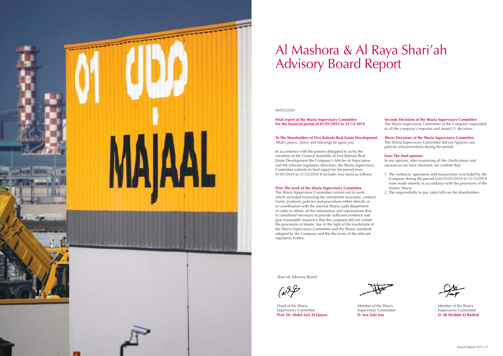

# Al Mashora & Al Raya Shari'ah Advisory Board Report

#### 04/03/2020

**Final report of the Sharia Supervisory Committee For the financial period of 01/01/2019 to 31/12/2019**

#### **To The Shareholders of First Bahrain Real Estate Development** Allah's peace, mercy and blessings be upon you

In accordance with the powers delegated to us by the members of the General Assembly of First Bahrain Real Estate Development the Company's Articles of Association and the relevant regulatory directives, the Sharia Supervisory Committee submits its final report for the period from 01/01/2018 to 31/12/2018 It includes four items as follows:

#### **First: The work of the Sharia Supervisory Committee**

The Sharia Supervisory Committee carried out its work, which included examining the investment structures, contract forms, products, policies and procedures either directly or in coordination with the internal Sharia audit department in order to obtain all the information and explanations that it considered necessary to provide sufficient evidence and give reasonable assurance that the company did not violate the provisions of Islamic law in the light of the resolutions of the Sharia Supervisory Committee and the Sharia standards adopted by the Company and the decisions of the relevant regulatory bodies.

**Second: Decisions of the Sharia Supervisory Committee**

The Sharia Supervisory Committee of the Company responded to all the company's inquiries and issued 21 decisions.

#### **Three: Decisions of the Sharia Supervisory Committee**

The Sharia Supervisory Committee did not Approve any policies and procedures during the period.

#### **Four: The final opinion:**

In our opinion, after examining all the clarifications and assurances we have obtained, we confirm that:

- 1. The contracts, operations and transactions concluded by the Company during the period from 01/01/2019 to 31/12/2019 were made entirely in accordance with the provisions of the Islamic Sharia.
- 2. The responsibility to pay zakat falls on the shareholders.

Shari'ah Advisory Board:

عرجهه)

Head of the Sharia Supervisory Committee **Prof. Dr. Abdul Aziz Al Qassar**

Member of the Sharia Supervisory Committee **D. Issa Zaki Issa**

Member of the Sharia Supervisory Committee **D. Ali Ibrahim Al Rashed**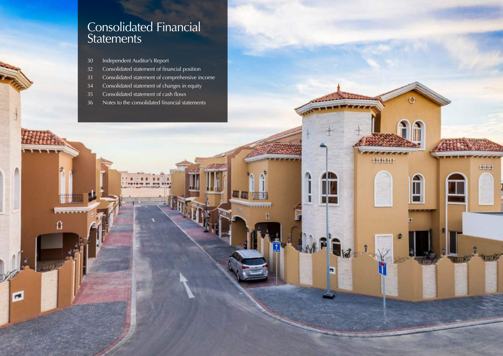![](_page_14_Picture_7.jpeg)

## Consolidated Financial **Statements**

Independent Auditor's Report

O

 $\blacksquare$ 

- Consolidated statement of financial position
- Consolidated statement of comprehensive income
- Consolidated statement of changes in equity
- Consolidated statement of cash flows
- Notes to the consolidated financial statements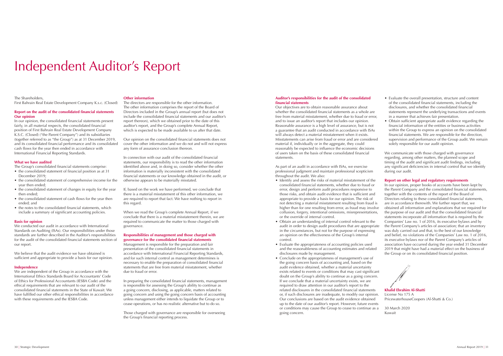#### The Shareholders,

First Bahrain Real Estate Development Company K.s.c. (Closed)

#### **Report on the audit of the consolidated financial statements Our opinion**

In our opinion, the consolidated financial statements present fairly, in all material respects, the consolidated financial position of First Bahrain Real Estate Development Company K.S.C. (Closed) ("the Parent Company") and its subsidiaries (together referred to as "the Group") as at 31 December 2019, and its consolidated financial performance and its consolidated cash flows for the year then ended in accordance with International Financial Reporting Standards.

#### **What we have audited**

The Group's consolidated financial statements comprise:

We are independent of the Group in accordance with the International Ethics Standards Board for Accountants' Code of Ethics for Professional Accountants (IESBA Code) and the ethical requirements that are relevant to our audit of the consolidated financial statements in the State of Kuwait. We have fulfilled our other ethical responsibilities in accordance with these requirements and the IESBA Code.

- the consolidated statement of financial position as at 31 December 2019;
- the consolidated statement of comprehensive income for the year then ended;
- the consolidated statement of changes in equity for the year then ended;
- the consolidated statement of cash flows for the year then ended; and
- the notes to the consolidated financial statements, which include a summary of significant accounting policies.

#### **Basis for opinion**

We conducted our audit in accordance with International Standards on Auditing (ISAs). Our responsibilities under those standards are further described in the Auditor's responsibilities for the audit of the consolidated financial statements section of our report.

We believe that the audit evidence we have obtained is sufficient and appropriate to provide a basis for our opinion.

#### **Independence**

#### **Other information**

The directors are responsible for the other information. The other information comprises the report of the Board of Directors included in the Group's annual report (but does not include the consolidated financial statements and our auditor's report thereon), which we obtained prior to the date of this auditor's report, and the Group's complete Annual Report, which is expected to be made available to us after that date.

Our opinion on the consolidated financial statements does not cover the other information and we do not and will not express any form of assurance conclusion thereon.

In connection with our audit of the consolidated financial statements, our responsibility is to read the other information identified above and, in doing so, consider whether the other information is materially inconsistent with the consolidated financial statements or our knowledge obtained in the audit, or otherwise appears to be materially misstated.

If, based on the work we have performed, we conclude that there is a material misstatement of this other information, we are required to report that fact. We have nothing to report in this regard.

When we read the Group's complete Annual Report, if we conclude that there is a material misstatement therein, we are required to communicate the matter to those charged with governance.

#### **Responsibilities of management and those charged with governance for the consolidated financial statements**

Management is responsible for the preparation and fair presentation of the consolidated financial statements in accordance with International Financial Reporting Standards, and for such internal control as management determines is necessary to enable the preparation of consolidated financial statements that are free from material misstatement, whether due to fraud or error.

We communicate with those charged with governance regarding, among other matters, the planned scope and timing of the audit and significant audit findings, including any significant deficiencies in internal control that we identify during our audit.

In preparing the consolidated financial statements, management is responsible for assessing the Group's ability to continue as a going concern, disclosing, as applicable, matters related to going concern and using the going concern basis of accounting unless management either intends to liquidate the Group or to cease operations, or has no realistic alternative but to do so.

Those charged with governance are responsible for overseeing the Group's financial reporting process.

# Independent Auditor's Report

#### **Auditor's responsibilities for the audit of the consolidated financial statements**

Our objectives are to obtain reasonable assurance about whether the consolidated financial statements as a whole are free from material misstatement, whether due to fraud or error, and to issue an auditor's report that includes our opinion. Reasonable assurance is a high level of assurance, but is not a guarantee that an audit conducted in accordance with ISAs will always detect a material misstatement when it exists. Misstatements can arise from fraud or error and are considered material if, individually or in the aggregate, they could reasonably be expected to influence the economic decisions of users taken on the basis of these consolidated financial statements.

As part of an audit in accordance with ISAs, we exercise professional judgment and maintain professional scepticism throughout the audit. We also:

- Identify and assess the risks of material misstatement of the consolidated financial statements, whether due to fraud or error, design and perform audit procedures responsive to those risks, and obtain audit evidence that is sufficient and appropriate to provide a basis for our opinion. The risk of not detecting a material misstatement resulting from fraud is higher than for one resulting from error, as fraud may involve collusion, forgery, intentional omissions, misrepresentations, or the override of internal control.
- Obtain an understanding of internal control relevant to the audit in order to design audit procedures that are appropriate in the circumstances, but not for the purpose of expressing an opinion on the effectiveness of the Group's internal control.
- Evaluate the appropriateness of accounting policies used and the reasonableness of accounting estimates and related disclosures made by management.
- Conclude on the appropriateness of management's use of the going concern basis of accounting and, based on the audit evidence obtained, whether a material uncertainty exists related to events or conditions that may cast significant doubt on the Group's ability to continue as a going concern. If we conclude that a material uncertainty exists, we are required to draw attention in our auditor's report to the related disclosures in the consolidated financial statements or, if such disclosures are inadequate, to modify our opinion. Our conclusions are based on the audit evidence obtained up to the date of our auditor's report. However, future events or conditions may cause the Group to cease to continue as a going concern.
- Evaluate the overall presentation, structure and content of the consolidated financial statements, including the disclosures, and whether the consolidated financial statements represent the underlying transactions and events in a manner that achieves fair presentation.
- Obtain sufficient appropriate audit evidence regarding the financial information of the entities or business activities within the Group to express an opinion on the consolidated financial statements. We are responsible for the direction, supervision and performance of the Group audit. We remain solely responsible for our audit opinion.

#### **Report on other legal and regulatory requirements**

In our opinion, proper books of accounts have been kept by the Parent Company and the consolidated financial statements, together with the contents of the report of the Board of Directors relating to these consolidated financial statements, are in accordance therewith. We further report that, we obtained all information and explanations that we required for the purpose of our audit and that the consolidated financial statements incorporate all information that is required by the Companies' Law no. 1 of 2016, its executive bylaws and by the Parent Company's articles of association; that an inventory was duly carried out and that, to the best of our knowledge and belief, no violations of the Companies' Law no. 1 of 2016, its executive bylaws nor of the Parent Company's articles of association have occurred during the year ended 31 December 2019 that might have had a material effect on the business of the Group or on its consolidated financial position.

**Khalid Ebrahim Al-Shatti** License No 175 A PricewaterhouseCoopers (Al-Shatti & Co.)

30 March 2020 Kuwait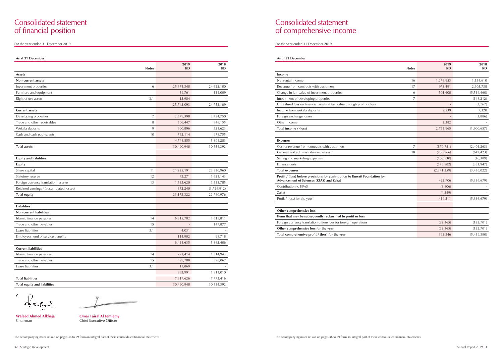## Consolidated statement of financial position

**Omar Faisal Al Temiemy** Chief Executive Officer

| As at 31 December                          |                   |             |
|--------------------------------------------|-------------------|-------------|
| <b>Notes</b>                               | 2019<br><b>KD</b> | 2018<br>KD  |
| <b>Assets</b>                              |                   |             |
| Non-current assets                         |                   |             |
| 6<br>Investment properties                 | 25,674,348        | 24,622,100  |
| Furniture and equipment                    | 51,761            | 131,009     |
| Right of use assets<br>3.1                 | 15,984            |             |
|                                            | 25,742,093        | 24,753,109  |
| <b>Current assets</b>                      |                   |             |
| Developing properties<br>7                 | 2,579,398         | 3,454,750   |
| Trade and other receivables<br>8           | 506,447           | 846,155     |
| Wekala deposits<br>9                       | 900,896           | 521,623     |
| Cash and cash equivalents<br>10            | 762,114           | 978,755     |
|                                            | 4,748,855         | 5,801,283   |
| <b>Total assets</b>                        | 30,490,948        | 30,554,392  |
|                                            |                   |             |
| <b>Equity and liabilities</b>              |                   |             |
| <b>Equity</b>                              |                   |             |
| Share capital<br>11                        | 21,225,191        | 23,330,960  |
| Statutory reserve<br>12                    | 42,271            | 1,621,143   |
| Foreign currency translation reserve<br>13 | 1,533,620         | 1,555,785   |
| Retained earnings / (accumulated losses)   | 372,240           | (3,726,912) |
| <b>Total equity</b>                        | 23, 173, 322      | 22,780,976  |
|                                            |                   |             |
| <b>Liabilities</b>                         |                   |             |
| <b>Non-current liabilities</b>             |                   |             |
| Islamic finance payables<br>14             | 6,315,702         | 5,615,811   |
| Trade and other payables<br>15             |                   | 147,877     |
| Lease liabilities<br>3.1                   | 4,031             |             |
| Employees' end of service benefits         | 114,902           | 98,718      |
|                                            | 6,434,635         | 5,862,406   |
| <b>Current liabilities</b>                 |                   |             |
| Islamic finance payables<br>14             | 271,414           | 1,314,943   |
| Trade and other payables<br>15             | 599,708           | 596,067     |
| Lease liabilities<br>3.1                   | 11,869            |             |
|                                            | 882,991           | 1,911,010   |
| <b>Total liabilities</b>                   | 7,317,626         | 7,773,416   |
| <b>Total equity and liabilities</b>        | 30,490,948        | 30,554,392  |

**Waleed Ahmed Alkhaja** Chairman

## Consolidated statement of comprehensive income

For the year ended 31 December 2019 For the year ended 31 December 2019

| As of 31 December                                                                                                       |              |                   |                   |
|-------------------------------------------------------------------------------------------------------------------------|--------------|-------------------|-------------------|
|                                                                                                                         | <b>Notes</b> | 2019<br><b>KD</b> | 2018<br><b>KD</b> |
| Income                                                                                                                  |              |                   |                   |
| Net rental income                                                                                                       | 16           | 1,276,953         | 1,154,610         |
| Revenue from contracts with customers                                                                                   | 17           | 973,491           | 2,605,738         |
| Change in fair value of investment properties                                                                           | 6            | 501,600           | (5,514,460)       |
| Impairment of developing properties                                                                                     | 7            |                   | (148, 212)        |
| Unrealised loss on financial assets at fair value through profit or loss                                                |              |                   | (3,767)           |
| Income from wekala deposits                                                                                             |              | 9,539             | 7,320             |
| Foreign exchange losses                                                                                                 |              |                   | (1,886)           |
| Other Income                                                                                                            |              | 2,382             |                   |
| Total income / (loss)                                                                                                   |              | 2,763,965         | (1,900,657)       |
| <b>Expenses</b>                                                                                                         |              |                   |                   |
| Cost of revenue from contracts with customers                                                                           | 7            | (870, 781)        | (2,401,263)       |
| General and administrative expenses                                                                                     | 18           | (786, 966)        | (642, 423)        |
| Selling and marketing expenses                                                                                          |              | (106, 530)        | (40, 389)         |
| Finance costs                                                                                                           |              | (576, 982)        | (351, 947)        |
| <b>Total expenses</b>                                                                                                   |              | (2,341,259)       | (3,436,022)       |
| Profit / (loss) before provisions for contribution to Kuwait Foundation for<br>Advancement of Sciences (KFAS) and Zakat |              | 422,706           | (5,336,679)       |
| Contribution to KFAS                                                                                                    |              | (3,806)           |                   |
| Zakat                                                                                                                   |              | (4,389)           |                   |
| Profit / (loss) for the year                                                                                            |              | 414,511           | (5, 336, 679)     |
| Other comprehensive loss                                                                                                |              |                   |                   |
| Items that may be subsequently reclassified to profit or loss                                                           |              |                   |                   |
| Foreign currency translation differences for foreign operations                                                         |              | (22, 165)         | (122, 701)        |
| Other comprehensive loss for the year                                                                                   |              | (22, 165)         | (122, 701)        |
| Total comprehensive profit / (loss) for the year                                                                        |              | 392,346           | (5,459,380)       |

" falsat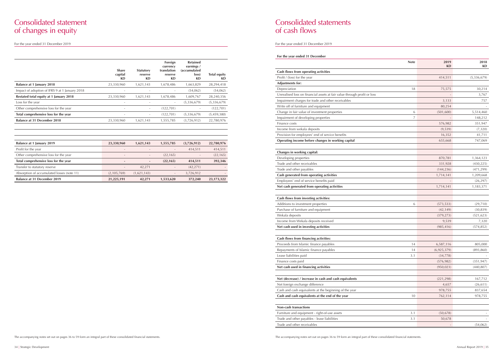|                                                | <b>Share</b><br>capital<br>KD | <b>Statutory</b><br>reserve<br>KD | Foreign<br>currency<br>translation<br>reserve<br><b>KD</b> | <b>Retained</b><br>earnings /<br><i>(accumulated</i><br>loss)<br>KD | <b>Total equity</b><br><b>KD</b> |
|------------------------------------------------|-------------------------------|-----------------------------------|------------------------------------------------------------|---------------------------------------------------------------------|----------------------------------|
| Balance at 1 January 2018                      | 23,330,960                    | 1,621,143                         | 1,678,486                                                  | 1,663,829                                                           | 28,294,418                       |
| Impact of adoption of IFRS 9 at 1 January 2018 |                               | $\overline{\phantom{a}}$          | $\overline{\phantom{a}}$                                   | (54,062)                                                            | (54,062)                         |
| Restated total equity at 1 January 2018        | 23,330,960                    | 1,621,143                         | 1,678,486                                                  | 1,609,767                                                           | 28,240,356                       |
| Loss for the year                              |                               |                                   | $\overline{\phantom{a}}$                                   | (5,336,679)                                                         | (5,336,679)                      |
| Other comprehensive loss for the year          |                               |                                   | (122, 701)                                                 |                                                                     | (122, 701)                       |
| Total comprehensive loss for the year          |                               |                                   | (122, 701)                                                 | (5,336,679)                                                         | (5,459,380)                      |
| <b>Balance at 31 December 2018</b>             | 23,330,960                    | 1,621,143                         | 1,555,785                                                  | (3,726,912)                                                         | 22,780,976                       |
|                                                |                               |                                   |                                                            |                                                                     |                                  |
| Balance at 1 January 2019                      | 23,330,960                    | 1,621,143                         | 1,555,785                                                  | (3,726,912)                                                         | 22,780,976                       |
| Profit for the year                            |                               |                                   |                                                            | 414,511                                                             | 414,511                          |
| Other comprehensive loss for the year          |                               |                                   | (22, 165)                                                  |                                                                     | (22, 165)                        |
| Total comprehensive loss for the year          |                               |                                   | (22, 165)                                                  | 414,511                                                             | 392,346                          |
| Transfer to statutory reserve                  |                               | 42,271                            | $\overline{\phantom{a}}$                                   | (42, 271)                                                           |                                  |
| Absorption of accumulated losses (note 11)     | (2,105,769)                   | (1,621,143)                       |                                                            | 3,726,912                                                           |                                  |
| <b>Balance at 31 December 2019</b>             | 21,225,191                    | 42,271                            | 1,533,620                                                  | 372,240                                                             | 23,173,322                       |

|                                                                          | <b>Note</b> | 2019<br>KD  | 2018<br>KD    |
|--------------------------------------------------------------------------|-------------|-------------|---------------|
| Cash flows from operating activities                                     |             |             |               |
| Profit / (loss) for the year                                             |             | 414,511     | (5, 336, 679) |
| <b>Adjustments for:</b>                                                  |             |             |               |
| Depreciation                                                             | 18          | 75,575      | 30,214        |
| Unrealised loss on financial assets at fair value through profit or loss |             |             | 3,767         |
| Impairment charges for trade and other receivables                       |             | 3,133       | 757           |
| Write off of furniture and equipment                                     |             | 80,254      |               |
| Change in fair value of investment properties                            | 6           | (501, 600)  | 5,514,460     |
| Impairment of developing properties                                      | 7           |             | 148,212       |
| Finance costs                                                            |             | 576,982     | 351,947       |
| Income from wekala deposits                                              |             | (9,539)     | (7,320)       |
| Provision for employees' end of service benefits                         |             | 16,352      | 41,711        |
| Operating income before changes in working capital                       |             | 655,668     | 747,069       |
| Changes in working capital:                                              |             |             |               |
| Developing properties                                                    |             | 870,781     | 1,364,123     |
| Trade and other receivables                                              |             | 331,928     | (430, 225)    |
| Trade and other payables                                                 |             | (144, 236)  | (471, 299)    |
| Cash generated from operating activities                                 |             | 1,714,141   | 1,209,668     |
| Employees' end of service benefits paid                                  |             |             | (26, 297)     |
| Net cash generated from operating activities                             |             | 1,714,141   | 1,183,371     |
| Cash flows from investing activities:                                    |             |             |               |
| Additions to investment properties                                       | 6           | (573, 533)  | (29, 710)     |
| Purchase of furniture and equipment                                      |             | (42, 149)   | (30, 839)     |
| Wekala deposits                                                          |             | (379, 273)  | (521, 623)    |
| Income from Wekala deposits received                                     |             | 9,539       | 7,320         |
| Net cash used in investing activities                                    |             | (985, 416)  | (574, 852)    |
| Cash flows from financing activities:                                    |             |             |               |
| Proceeds from Islamic finance payables                                   | 14          | 6,587,116   | 805,000       |
| Repayments of Islamic finance payables                                   | 14          | (6,925,379) | (893, 860)    |
| Lease liabilities paid                                                   | 3.1         | (34, 778)   |               |
| Finance costs paid                                                       |             | (576, 982)  | (351, 947)    |
| Net cash used in financing activities                                    |             | (950, 023)  | (440, 807)    |
| Net (decrease) / increase in cash and cash equivalents                   |             | (221, 298)  | 167,712       |
| Net foreign exchange difference                                          |             | 4,657       | (26, 611)     |
| Cash and cash equivalents at the beginning of the year                   |             | 978,755     | 837,654       |
| Cash and cash equivalents at the end of the year                         | 10          | 762,114     | 978,755       |
| Non-cash transactions                                                    |             |             |               |
| Furniture and equipment - right-of-use assets                            | 3.1         | (50, 678)   |               |
| Trade and other payables - lease liabilities                             | 3.1         | 50,678      |               |
| Trade and other receivables                                              |             |             | (54,062)      |

## Consolidated statement of changes in equity

For the year ended 31 December 2019

## Consolidated statements of cash flows

For the year ended 31 December 2019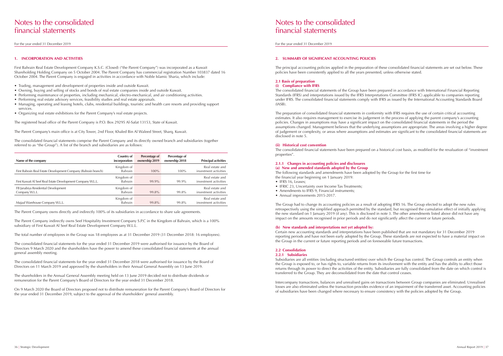For the year ended 31 December 2019

## Notes to the consolidated financial statements

For the year ended 31 December 2019

#### **1. INCORPORATION AND ACTIVITIES**

First Bahrain Real Estate Development Company K.S.C. (Closed) ("the Parent Company") was incorporated as a Kuwait Shareholding Holding Company on 5 October 2004. The Parent Company has commercial registration Number 103837 dated 16 October 2004. The Parent Company is engaged in activities in accordance with Noble Islamic Sharia, which include:

- Trading, management and development of properties inside and outside Kuwait.
- Owning, buying and selling of stocks and bonds of real estate companies inside and outside Kuwait.
- Performing maintenance of properties, including mechanical, electro-mechanical, and air conditioning activities.
- Performing real estate advisory services, feasibility studies and real estate appraisals.
- Managing, operating and leasing hotels, clubs, residential buildings, touristic and health care resorts and providing support services.
- Organizing real estate exhibitions for the Parent Company's real estate projects.

The registered head office of the Parent Company is P.O. Box 29295 Al-Safat 13153, State of Kuwait.

The Parent Company's main office is at City Tower, 2nd Floor, Khaled Bin Al Waleed Street, Sharq, Kuwait.

The consolidated financial statements comprise the Parent Company and its directly owned branch and subsidiaries (together referred to as "the Group"). A list of the branch and subsidiaries are as follows:

| Name of the company                                            | Country of<br>incorporation  | Percentage of<br>ownership 2019 | Percentage of<br>ownership 2018 | <b>Principal activities</b>              |
|----------------------------------------------------------------|------------------------------|---------------------------------|---------------------------------|------------------------------------------|
| First Bahrain Real Estate Development Company (Bahrain branch) | Kingdom of<br>Bahrain        | $100\%$                         | 100%                            | Real estate and<br>investment activities |
| First Kuwait Al Seef Real Estate Development Company W.L.L.    | Kingdom of<br>Bahrain        | 99.9%                           | 99.9%                           | Real estate and<br>investment activities |
| FB Janabiya Residential Development<br>Company W.L.L.          | Kingdom of<br>Bahrain        | 99.8%                           | 99.8%                           | Real estate and<br>investment activities |
| Majaal Warehouse Company W.L.L.                                | Kingdom of<br><b>Bahrain</b> | 99.8%                           | 99.8%                           | Real estate and<br>investment activities |

The Parent Company owns directly and indirectly 100% of its subsidiaries in accordance to share sale agreements.

The Parent Company indirectly owns Seef Hospitality Investment Company S.P.C in the Kingdom of Bahrain, which is a 100% subsidiary of First Kuwait Al Seef Real Estate Development Company W.L.L.

The total number of employees in the Group was 18 employees as at 31 December 2019 (31 December 2018: 16 employees).

- IFRS 16, Leases;
- IFRIC 23, Uncertainty over Income Tax Treatments;
- Amendments to IFRS 9, Financial instruments;
- Annual improvements 2015-2017.

The consolidated financial statements for the year ended 31 December 2019 were authorised for issuance by the Board of Directors 9 March 2020 and the shareholders have the power to amend these consolidated financial statements at the annual general assembly meeting.

The consolidated financial statements for the year ended 31 December 2018 were authorised for issuance by the Board of Directors on 11 March 2019 and approved by the shareholders in their Annual General Assembly on 13 June 2019.

The shareholders in the Annual General Assembly meeting held on 13 June 2019 decided not to distribute dividends or remuneration for the Parent Company's Board of Directors for the year ended 31 December 2018.

On 9 March 2020 the Board of Directors proposed not to distribute remuneration for the Parent Company's Board of Directors for the year ended 31 December 2019, subject to the approval of the shareholders' general assembly.

#### **2. SUMMARY OF SIGNIFICANT ACCOUNTING POLICIES**

The principal accounting policies applied in the preparation of these consolidated financial statements are set out below. These policies have been consistently applied to all the years presented, unless otherwise stated.

#### **2.1 Basis of preparation (i) Compliance with IFRS**

The consolidated financial statements of the Group have been prepared in accordance with International Financial Reporting Standards (IFRS) and interpretations issued by the IFRS Interpretations Committee (IFRS IC) applicable to companies reporting under IFRS. The consolidated financial statements comply with IFRS as issued by the International Accounting Standards Board (IASB).

The preparation of consolidated financial statements in conformity with IFRS requires the use of certain critical accounting estimates. It also requires management to exercise its judgement in the process of applying the parent company's accounting policies. Changes in assumptions may have a significant impact on the consolidated financial statements in the period the assumptions changed. Management believes that the underlying assumptions are appropriate. The areas involving a higher degree of judgement or complexity, or areas where assumptions and estimates are significant to the consolidated financial statements are disclosed in note 5.

#### **(ii) Historical cost convention**

The consolidated financial statements have been prepared on a historical cost basis, as modified for the revaluation of "investment properties".

#### **2.1.1 Changes in accounting policies and disclosures (a) New and amended standards adopted by the Group**

The following standards and amendments have been adopted by the Group for the first time for the financial year beginning on 1 January 2019:

The Group had to change its accounting policies as a result of adopting IFRS 16. The Group elected to adopt the new rules retrospectively using the simplified approach permitted by the standard, but recognised the cumulative effect of initially applying the new standard on 1 January 2019 (if any). This is disclosed in note 3. The other amendments listed above did not have any impact on the amounts recognised in prior periods and do not significantly affect the current or future periods.

#### **(b) New standards and interpretations not yet adopted by:**

Certain new accounting standards and interpretations have been published that are not mandatory for 31 December 2019 reporting periods and have not been early adopted by the Group. These standards are not expected to have a material impact on the Group in the current or future reporting periods and on foreseeable future transactions.

### **2.2 Consolidation**

### **2.2.1 Subsidiaries**

Subsidiaries are all entities (including structured entities) over which the Group has control. The Group controls an entity when the Group is exposed to, or has rights to, variable returns from its involvement with the entity and has the ability to affect those returns through its power to direct the activities of the entity. Subsidiaries are fully consolidated from the date on which control is transferred to the Group. They are deconsolidated from the date that control ceases.

Intercompany transactions, balances and unrealised gains on transactions between Group companies are eliminated. Unrealised losses are also eliminated unless the transaction provides evidence of an impairment of the transferred asset. Accounting policies of subsidiaries have been changed where necessary to ensure consistency with the policies adopted by the Group.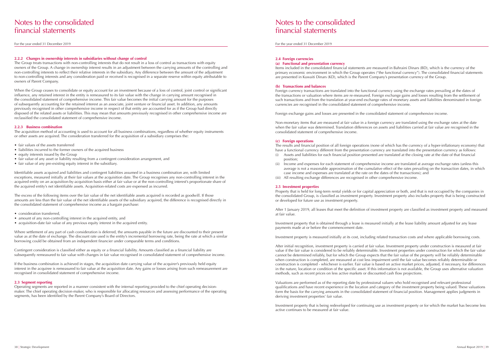For the year ended 31 December 2019

## Notes to the consolidated financial statements

For the year ended 31 December 2019

#### **2.2.2 Changes in ownership interests in subsidiaries without change of control**

The Group treats transactions with non-controlling interests that do not result in a loss of control as transactions with equity owners of the Group. A change in ownership interest results in an adjustment between the carrying amounts of the controlling and non-controlling interests to reflect their relative interests in the subsidiary. Any difference between the amount of the adjustment to non-controlling interests and any consideration paid or received is recognised in a separate reserve within equity attributable to owners of Parent Company.

When the Group ceases to consolidate or equity account for an investment because of a loss of control, joint control or significant influence, any retained interest in the entity is remeasured to its fair value with the change in carrying amount recognised in the consolidated statement of comprehensive income. This fair value becomes the initial carrying amount for the purposes of subsequently accounting for the retained interest as an associate, joint venture or financial asset. In addition, any amounts previously recognised in other comprehensive income in respect of that entity are accounted for as if the Group had directly disposed of the related assets or liabilities. This may mean that amounts previously recognised in other comprehensive income are reclassified the consolidated statement of comprehensive income.

#### **2.2.3 Business combination**

The acquisition method of accounting is used to account for all business combinations, regardless of whether equity instruments or other assets are acquired. The consideration transferred for the acquisition of a subsidiary comprises the:

- fair values of the assets transferred
- liabilities incurred to the former owners of the acquired business
- equity interests issued by the Group
- fair value of any asset or liability resulting from a contingent consideration arrangement, and
- fair value of any pre-existing equity interest in the subsidiary.

Identifiable assets acquired and liabilities and contingent liabilities assumed in a business combination are, with limited exceptions, measured initially at their fair values at the acquisition date. The Group recognises any non-controlling interest in the acquired entity on an acquisition-by-acquisition basis either at fair value or at the non-controlling interest's proportionate share of the acquired entity's net identifiable assets. Acquisition-related costs are expensed as incurred.

The excess of the following items over the fair value of the net identifiable assets acquired is recorded as goodwill. If those amounts are less than the fair value of the net identifiable assets of the subsidiary acquired, the difference is recognised directly in the consolidated statement of comprehensive income as a bargain purchase:

- consideration transferred,
- amount of any non-controlling interest in the acquired entity, and
- acquisition-date fair value of any previous equity interest in the acquired entity.

Where settlement of any part of cash consideration is deferred, the amounts payable in the future are discounted to their present value as at the date of exchange. The discount rate used is the entity's incremental borrowing rate, being the rate at which a similar borrowing could be obtained from an independent financier under comparable terms and conditions.

Contingent consideration is classified either as equity or a financial liability. Amounts classified as a financial liability are subsequently remeasured to fair value with changes in fair value recognised in consolidated statement of comprehensive income.

If the business combination is achieved in stages, the acquisition date carrying value of the acquirer's previously held equity interest in the acquiree is remeasured to fair value at the acquisition date. Any gains or losses arising from such remeasurement are recognised in consolidated statement of comprehensive income.

#### **2.3 Segment reporting**

Operating segments are reported in a manner consistent with the internal reporting provided to the chief operating decisionmaker. The chief operating decision-maker, who is responsible for allocating resources and assessing performance of the operating segments, has been identified by the Parent Company's Board of Directors.

#### **2.4 Foreign currencies**

#### **(a) Functional and presentation currency**

Items included in the consolidated financial statements are measured in Bahraini Dinars (BD), which is the currency of the primary economic environment in which the Group operates ("the functional currency"). The consolidated financial statements are presented in Kuwaiti Dinars (KD), which is the Parent Company's presentation currency of the Group.

#### **(b) Transactions and balances**

Foreign currency transactions are translated into the functional currency using the exchange rates prevailing at the dates of the transactions or valuation where items are re-measured. Foreign exchange gains and losses resulting from the settlement of such transactions and from the translation at year-end exchange rates of monetary assets and liabilities denominated in foreign currencies are recognised in the consolidated statement of comprehensive income.

Foreign exchange gains and losses are presented in the consolidated statement of comprehensive income.

Non-monetary items that are measured at fair value in a foreign currency are translated using the exchange rates at the date when the fair value was determined. Translation differences on assets and liabilities carried at fair value are recognised in the consolidated statement of comprehensive income.

#### **(c) Foreign operations**

The results and financial position of all foreign operations (none of which has the currency of a hyper-inflationary economy) that have a functional currency different from the presentation currency are translated into the presentation currency as follows: (i) Assets and liabilities for each financial position presented are translated at the closing rate at the date of that financial

average is not a reasonable approximation of the cumulative effect of the rates prevailing on the transaction dates, in which

- position; (ii) Income and expenses for each statement of comprehensive income are translated at average exchange rates (unless this
- case income and expenses are translated at the rate on the dates of the transactions); and
- (iii) All resulting exchange differences are recognised in other comprehensive income.

#### **2.5 Investment properties**

Property that is held for long-term rental yields or for capital appreciation or both, and that is not occupied by the companies in the consolidated Group, is classified as investment property. Investment property also includes property that is being constructed or developed for future use as investment property.

After 1 January 2019, all leases that meet the definition of investment property are classified as investment property and measured at fair value.

Investment property that is obtained through a lease is measured initially at the lease liability amount adjusted for any lease payments made at or before the commencement date.

Investment property is measured initially at its cost, including related transaction costs and where applicable borrowing costs.

After initial recognition, investment property is carried at fair value. Investment property under construction is measured at fair value if the fair value is considered to be reliably determinable. Investment properties under construction for which the fair value cannot be determined reliably, but for which the Group expects that the fair value of the property will be reliably determinable when construction is completed, are measured at cost less impairment until the fair value becomes reliably determinable or construction is completed - whichever is earlier. Fair value is based on active market prices, adjusted, if necessary, for differences in the nature, location or condition of the specific asset. If this information is not available, the Group uses alternative valuation methods, such as recent prices on less active markets or discounted cash flow projections.

Valuations are performed as of the reporting date by professional valuers who hold recognised and relevant professional qualifications and have recent experience in the location and category of the investment property being valued. These valuations form the basis for the carrying amounts in the consolidated statement of financial position. Management applies judgments in deriving investment properties' fair value.

Investment property that is being redeveloped for continuing use as investment property or for which the market has become less active continues to be measured at fair value.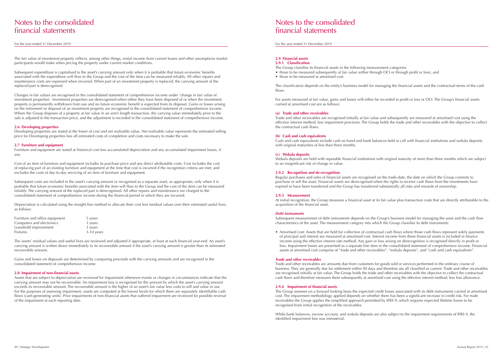For the year ended 31 December 2019

## Notes to the consolidated financial statements

For the year ended 31 December 2019

The fair value of investment property reflects, among other things, rental income from current leases and other assumptions market participants would make when pricing the property under current market conditions.

Subsequent expenditure is capitalised to the asset's carrying amount only when it is probable that future economic benefits associated with the expenditure will flow to the Group and the cost of the item can be measured reliably. All other repairs and maintenance costs are expensed when incurred. When part of an investment property is replaced, the carrying amount of the replaced part is derecognised.

Changes in fair values are recognised in the consolidated statement of comprehensive income under 'change in fair value of investment properties'. Investment properties are derecognised when either they have been disposed of or when the investment property is permanently withdrawn from use and no future economic benefit is expected from its disposal. Gains or losses arising on the retirement or disposal of an investment property are recognised in the consolidated statement of comprehensive income. Where the Group disposes of a property at fair value in an arm's length transaction, the carrying value immediately prior to the sale is adjusted to the transaction price, and the adjustment is recorded in the consolidated statement of comprehensive income.

#### **2.6 Developing properties**

Developing properties are stated at the lower of cost and net realisable value. Net realisable value represents the estimated selling price for Developing properties less all estimated costs of completion and costs necessary to make the sale.

#### **2.7 Furniture and equipment**

Furniture and equipment are stated at historical cost less accumulated depreciation and any accumulated impairment losses, if any.

Cost of an item of furniture and equipment includes its purchase price and any direct attributable costs. Cost includes the cost of replacing part of an existing furniture and equipment at the time that cost is incurred if the recognition criteria are met; and excludes the costs of day-to-day servicing of an item of furniture and equipment.

Subsequent costs are included in the asset's carrying amount or recognised as a separate asset, as appropriate, only when it is probable that future economic benefits associated with the item will flow to the Group and the cost of the item can be measured reliably. The carrying amount of the replaced part is derecognised. All other repairs and maintenance are charged to the consolidated statement of comprehensive income during the financial period in which they are incurred.

Depreciation is calculated using the straight-line method to allocate their cost less residual values over their estimated useful lives, as follows:

| Furniture and office equipment | 5 years      |
|--------------------------------|--------------|
| Computers and electronics      | 3 years      |
| Leasehold improvement          | 3 years      |
| <b>Fixtures</b>                | $3-10$ years |

The assets' residual values and useful lives are reviewed and adjusted if appropriate, at least at each financial year-end. An asset's carrying amount is written down immediately to its recoverable amount if the asset's carrying amount is greater than its estimated recoverable amount.

Gains and losses on disposals are determined by comparing proceeds with the carrying amounts and are recognised in the consolidated statement of comprehensive income.

#### **2.8 Impairment of non-financial assets**

Assets that are subject to depreciation are reviewed for impairment whenever events or changes in circumstances indicate that the carrying amount may not be recoverable. An impairment loss is recognised for the amount by which the asset's carrying amount exceeds its recoverable amount. The recoverable amount is the higher of an asset's fair value less costs to sell and value in use. For the purposes of assessing impairment, assets are computed at the lowest levels for which there are separately identifiable cash flows (cash-generating units). Prior impairments of non-financial assets that suffered impairment are reviewed for possible reversal of the impairment at each reporting date.

> While bank balances, escrow account, and wekala deposits are also subject to the impairment requirements of IFRS 9, the identified impairment loss was immaterial.

#### **2.9 Financial assets 2.9.1 Classification**

The Group classifies its financial assets in the following measurement categories:

- 
- those to be measured at amortised cost.

• those to be measured subsequently at fair value (either through OCI or through profit or loss), and

The classification depends on the entity's business model for managing the financial assets and the contractual terms of the cash flows.

For assets measured at fair value, gains and losses will either be recorded in profit or loss or OCI. The Group's financial assets carried at amortised cost are as follows:

#### **(a) Trade and other receivables**

Trade and other receivables are recognised initially at fair value and subsequently are measured at amortised cost using the effective interest method, less impairment provision. The Group holds the trade and other receivables with the objective to collect the contractual cash flows.

#### **(b) Cash and cash equivalents**

Cash and cash equivalents include cash on hand and bank balances held at call with financial institutions and wekala deposits with original maturities of less than three months.

#### **(c) Wekala deposits**

Wekala deposits are held with reputable financial institutions with original maturity of more than three months which are subject to an insignificant risk of change in value.

#### **2.9.2 Recognition and de-recognition**

Regular purchases and sales of financial assets are recognised on the trade-date, the date on which the Group commits to purchase or sell the asset. Financial assets are derecognised when the rights to receive cash flows from the investments have expired or have been transferred and the Group has transferred substantially all risks and rewards of ownership.

#### **2.9.3 Measurement**

At initial recognition, the Group measures a financial asset at its fair value plus transaction costs that are directly attributable to the acquisition of the financial asset.

#### *Debt instruments*

Subsequent measurement of debt instruments depends on the Group's business model for managing the asset and the cash flow characteristics of the asset. The measurement category into which the Group classifies its debt instruments:

• Amortised cost: Assets that are held for collection of contractual cash flows where those cash flows represent solely payments of principal and interest are measured at amortised cost. Interest income from these financial assets is included in finance income using the effective interest rate method. Any gain or loss arising on derecognition is recognised directly in profit or assets at amortised cost comprise of "trade and other receivables", "wekala deposits", and "cash and cash equivalents".

loss. Impairment losses are presented as a separate line item in the consolidated statement of comprehensive income. Financial

#### *Trade and other receivables*

Trade and other receivables are amounts due from customers for goods sold or services performed in the ordinary course of business. They are generally due for settlement within 90 days and therefore are all classified as current. Trade and other receivables are recognised initially at fair value. The Group holds the trade and other receivables with the objective to collect the contractual cash flows and therefore measures them subsequently at amortised cost using the effective interest method, less loss allowance.

#### **2.9.4 Impairment of financial assets**

The Group assesses on a forward looking basis the expected credit losses associated with its debt instruments carried at amortised cost. The impairment methodology applied depends on whether there has been a significant increase in credit risk. For trade receivables the Group applies the simplified approach permitted by IFRS 9, which requires expected lifetime losses to be recognised from initial recognition of the receivables.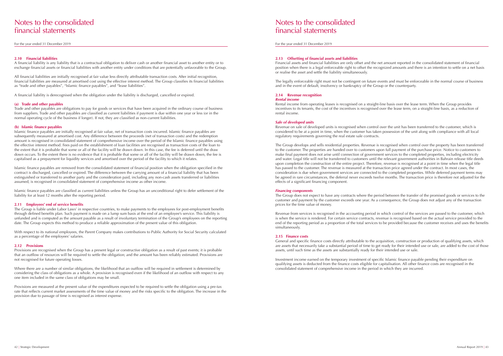For the year ended 31 December 2019

## Notes to the consolidated financial statements

For the year ended 31 December 2019

#### **2.10 Financial liabilities**

A financial liability is any liability that is a contractual obligation to deliver cash or another financial asset to another entity or to exchange financial assets or financial liabilities with another entity under conditions that are potentially unfavorable to the Group.

All financial liabilities are initially recognised at fair value less directly attributable transaction costs. After initial recognition, financial liabilities are measured at amortised cost using the effective interest method. The Group classifies its financial liabilities as "trade and other payables", "Islamic finance payables", and "lease liabilities".

A financial liability is derecognised when the obligation under the liability is discharged, cancelled or expired.

#### **(a) Trade and other payables**

Trade and other payables are obligations to pay for goods or services that have been acquired in the ordinary course of business from suppliers. Trade and other payables are classified as current liabilities if payment is due within one year or less (or in the normal operating cycle of the business if longer). If not, they are classified as non-current liabilities.

#### **(b) Islamic finance payables**

Islamic finance payables are initially recognised at fair value, net of transaction costs incurred. Islamic finance payables are subsequently measured at amortised cost. Any difference between the proceeds (net of transaction costs) and the redemption amount is recognised in consolidated statement of comprehensive income over the period of the Islamic finance payables using the effective interest method. Fees paid on the establishment of loan facilities are recognised as transaction costs of the loan to the extent that it is probable that some or all of the facility will be drawn down. In this case, the fee is deferred until the draw down occurs. To the extent there is no evidence that it is probable that some or all of the facility will be drawn down, the fee is capitalised as a prepayment for liquidity services and amortised over the period of the facility to which it relates.

Where there are a number of similar obligations, the likelihood that an outflow will be required in settlement is determined by considering the class of obligations as a whole. A provision is recognised even if the likelihood of an outflow with respect to any one item included in the same class of obligations may be small.

Islamic finance payables are removed from the consolidated statement of financial position when the obligation specified in the contract is discharged, cancelled or expired. The difference between the carrying amount of a financial liability that has been extinguished or transferred to another party and the consideration paid, including any non-cash assets transferred or liabilities assumed, is recognised in consolidated statement of comprehensive income as other income.

Islamic finance payables are classified as current liabilities unless the Group has an unconditional right to defer settlement of the liability for at least 12 months after the reporting period.

#### **2.11 Employees' end of service benefits**

The Group is liable under Labor Laws' in respective countries, to make payments to the employees for post-employment benefits through defined benefits plan. Such payment is made on a lump sum basis at the end of an employee's service. This liability is unfunded and is computed as the amount payable as a result of involuntary termination of the Group's employees on the reporting date. The Group expects this method to produce a reliable approximation of the present value of this obligation.

With respect to its national employees, the Parent Company makes contributions to Public Authority for Social Security calculated as a percentage of the employees' salaries.

#### **2.12 Provisions**

Provisions are recognised when the Group has a present legal or constructive obligation as a result of past events; it is probable that an outflow of resources will be required to settle the obligation; and the amount has been reliably estimated. Provisions are not recognised for future operating losses.

Provisions are measured at the present value of the expenditures expected to be required to settle the obligation using a pre-tax rate that reflects current market assessments of the time value of money and the risks specific to the obligation. The increase in the provision due to passage of time is recognised as interest expense.

### **2.13 Offsetting of financial assets and liabilities**

Financial assets and financial liabilities are only offset and the net amount reported in the consolidated statement of financial position when there is a legal enforceable right to offset the recognized amounts and there is an intention to settle on a net basis or realise the asset and settle the liability simultaneously.

The legally enforceable right must not be contingent on future events and must be enforceable in the normal course of business and in the event of default, insolvency or bankruptcy of the Group or the counterparty.

#### **2.14 Revenue recognition** *Rental income*

Rental income from operating leases is recognised on a straight-line basis over the lease term. When the Group provides incentives to its tenants, the cost of the incentives is recognised over the lease term, on a straight-line basis, as a reduction of rental income.

#### *Sale of developed units*

Revenue on sale of developed units is recognised when control over the unit has been transferred to the customer, which is considered to be at a point in time, when the customer has taken possession of the unit along with compliance with all local regulatory requirements governing the real estate sale contracts.

The Group develops and sells residential properties. Revenue is recognised when control over the property has been transferred to the customer. The properties are handed over to customers upon full payment of the purchase price. Notice to customers to make final payment does not arise until connection of government services to the completed properties, including electricity and water. Legal title will not be transferred to customers until the relevant government authorities in Bahrain release title deeds upon completion the construction of the entire project. Therefore, revenue is recognised at a point in time when the legal title has passed to the customer. The revenue is measured at the transaction price agreed under the contract. In most cases, the consideration is due when government services are connected to the completed properties. While deferred payment terms may be agreed in rare circumstances, the deferral never exceeds twelve months. The transaction price is therefore not adjusted for the effects of a significant financing component.

#### *Financing components*

The Group does not expect to have any contracts where the period between the transfer of the promised goods or services to the customer and payment by the customer exceeds one year. As a consequence, the Group does not adjust any of the transaction prices for the time value of money.

Revenue from services is recognised in the accounting period in which control of the services are passed to the customer, which is when the service is rendered. For certain service contracts, revenue is recognised based on the actual service provided to the end of the reporting period as a proportion of the total services to be provided because the customer receives and uses the benefits simultaneously.

#### **2.15 Finance costs**

General and specific finance costs directly attributable to the acquisition, construction or production of qualifying assets, which are assets that necessarily take a substantial period of time to get ready for their intended use or sale, are added to the cost of those assets, until such time as the assets are substantially ready for their intended use or sale.

Investment income earned on the temporary investment of specific Islamic finance payable pending their expenditure on qualifying assets is deducted from the finance costs eligible for capitalisation. All other finance costs are recognised in the consolidated statement of comprehensive income in the period in which they are incurred.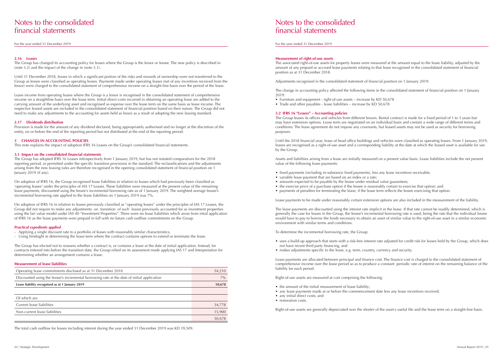For the year ended 31 December 2019

## Notes to the consolidated financial statements

For the year ended 31 December 2019

#### **2.16 Leases**

The Group has changed its accounting policy for leases where the Group is the lessor or lessee. The new policy is described in (note 3.2) and the impact of the change in (note 3.1).

Until 31 December 2018, leases in which a significant portion of the risks and rewards of ownership were not transferred to the Group as lessee were classified as operating leases. Payments made under operating leases (net of any incentives received from the lessor) were charged to the consolidated statement of comprehensive income on a straight-line basis over the period of the lease.

Lease income from operating leases where the Group is a lessor is recognised in the consolidated statement of comprehensive income on a straightline basis over the lease term. Initial direct costs incurred in obtaining an operating lease are added to the carrying amount of the underlying asset and recognised as expense over the lease term on the same basis as lease income. The respective leased assets are included in the consolidated statement of financial position based on their nature. The Group did not need to make any adjustments to the accounting for assets held as lessor as a result of adopting the new leasing standard.

### **2.17 Dividends distribution**

Provision is made for the amount of any dividend declared, being appropriately authorised and no longer at the discretion of the entity, on or before the end of the reporting period but not distributed at the end of the reporting period.

### **3 CHANGES IN ACCOUNTING POLICIES**

This note explains the impact of adoption IFRS 16 Leases on the Group's consolidated financial statements.

### **3.1 Impact on the consolidated financial statements**

The Group has adopted IFRS 16 Leases retrospectively from 1 January 2019, but has not restated comparatives for the 2018 reporting period, as permitted under the specific transition provisions in the standard. The reclassifications and the adjustments arising from the new leasing rules are therefore recognised in the opening consolidated statement of financial position on 1 January 2019 (if any).

- Furniture and equipment right-of-use assets increase by KD 50,678
- Trade and other payables lease liabilities increase by KD 50,678

On adoption of IFRS 16, the Group recognised lease liabilities in relation to leases which had previously been classified as 'operating leases' under the principles of IAS 17 Leases. These liabilities were measured at the present value of the remaining lease payments, discounted using the lessee's incremental borrowing rate as of 1 January 2019. The weighted average lessee's incremental borrowing rate applied to the lease liabilities on 1 January 2019 was 7%.

- fixed payments (including in-substance fixed payments), less any lease incentives receivable;
- variable lease payment that are based on an index or a rate;
- amounts expected to be payable by the lessee under residual value guarantees;
- 
- 

On adoption of IFRS 16 in relation to leases previously classified as "operating leases" under the principles of IAS 17 Leases, the Group did not require to make any adjustments on transition of such leases previously accounted for as investment properties using the fair value model under IAS 40 "Investment Properties". There were no lease liabilities which arose from intial application of IFRS 16 as the lease payments were prepaid in full with no future cash outflow commitments on the Group.

### *Practical expedients applied*

- Applying a single discount rate to a portfolio of leases with reasonably similar characteristics,
- Using hindsight in determining the lease term where the contract contains options to extend or terminate the lease.

The Group has elected not to reassess whether a contract is, or contains a lease at the date of initial application. Instead, for contracts entered into before the transition date, the Group relied on its assessment made applying IAS 17 and Interpretation for determining whether an arrangement contains a lease.

- the amount of the initial measurement of lease liability;
- any lease payments made at or before the commencement date less any lease incentives received;
- any initial direct costs; and
- restoration costs.

Right-of-use assets are generally depreciated over the shorter of the asset s useful life and the lease term on a straight-line basis.

### **Measurement of lease liabilities**

| Operating lease commitments disclosed as at 31 December 2018                                | 54,210 |
|---------------------------------------------------------------------------------------------|--------|
| Discounted using the lessee's incremental borrowing rate at the date of initial application | $7\%$  |
| Lease liability recognised as at 1 January 2019                                             | 50,678 |
|                                                                                             |        |
| Of which are                                                                                |        |
| Current lease liabilities                                                                   | 34,778 |
| Non-current lease liabilities                                                               | 15,900 |
|                                                                                             | 50,678 |

The total cash outflow for leases including interest during the year ended 31 December 2019 was KD 39,509.

#### **Measurement of right-of-use assets**

The associated right-of-use assets for property leases were measured at the amount equal to the lease liability, adjusted by the amount of any prepaid or accrued lease payments relating to that lease recognised in the consolidated statement of financial position as at 31 December 2018.

Adjustments recognised in the consolidated statement of financial position on 1 January 2019:

The change in accounting policy affected the following items in the consolidated statement of financial position on 1 January 2019:

### **3.2 IFRS 16 "Leases" – Accounting policies**

The Group leases its offices and vehicles from different lessors. Rental contract is made for a fixed period of 1 to 3 years but may have extension options. Lease term are negotiated on an individual basis and contain a wide range of different terms and conditions. The lease agreement do not impose any covenants, but leased assets may not be used as security for borrowing purposes.

Until the 2018 financial year, lease of head office buildings and vehicles were classified as operating leases. From 1 January 2019, leases are recognised as a right-of-use asset and a corresponding liability at the date at which the leased asset is available for use by the Group.

Assets and liabilities arising from a lease are initially measured on a present value basis. Lease liabilities include the net present value of the following lease payments:

• the exercise price of a purchase option if the lessee is reasonably certain to exercise that option; and

• payments of penalties for terminating the lease, if the lease term reflects the lessee exercising that option.

Lease payments to be made under reasonably certain extension options are also included in the measurement of the liability.

The lease payments are discounted using the interest rate implicit in the lease. If that rate cannot be readily determined, which is generally the case for leases in the Group, the lessee's incremental borrowing rate is used, being the rate that the individual lessee would have to pay to borrow the funds necessary to obtain an asset of similar value to the right-of-use asset in a similar economic environment with similar terms and conditions.

To determine the incremental borrowing rate, the Group:

- uses a build-up approach that starts with a risk-free interest rate adjusted for credit risk for leases held by the Group, which does not have recent third party financing, and
- makes adjustments specific to the lease, e.g. term, country, currency and security.

Lease payments are allocated between principal and finance cost. The finance cost is charged to the consolidated statement of comprehensive income over the lease period so as to produce a constant periodic rate of interest on the remaining balance of the liability for each period.

Right-of-use assets are measured at cost comprising the following: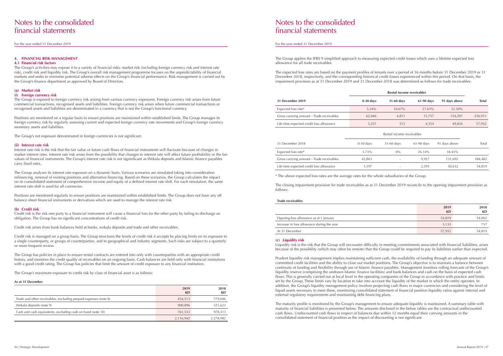For the year ended 31 December 2019

## Notes to the consolidated financial statements

For the year ended 31 December 2019

#### **4. FINANCIAL RISK MANAGEMENT**

#### **4.1 Financial risk factors**

The Group's activities may expose it to a variety of financial risks: market risk (including foreign currency risk and interest rate risk), credit risk and liquidity risk. The Group's overall risk management programme focuses on the unpredictability of financial markets and seeks to minimise potential adverse effects on the Group's financial performance. Risk management is carried out by the Group's finance department as approved by Board of Directors.

#### **(a) Market risk**

#### **(i) Foreign currency risk**

The Group is exposed to foreign currency risk arising from various currency exposures. Foreign currency risk arises from future commercial transactions, recognised assets and liabilities. Foreign currency risk arises when future commercial transactions or recognised assets and liabilities are denominated in a currency that is not the Group's functional currency.

Positions are monitored on a regular basis to ensure positions are maintained within established limits. The Group manages its foreign currency risk by regularly assessing current and expected foreign currency rate movements and Group's foreign currency monetary assets and liabilities.

The Group's net exposure denominated in foreign currencies is not significant.

#### **(ii) Interest rate risk**

Interest rate risk is the risk that the fair value or future cash flows of financial instruments will fluctuate because of changes in market interest rates. Interest rate risk arises from the possibility that changes in interest rate will affect future profitability or the fair values of financial instruments. The Group's interest rate risk is not signinficant as Wekala deposits and Islamic finance payables carry fixed rates.

The Group analyses its interest rate exposure on a dynamic basis. Various scenarios are simulated taking into consideration refinancing, renewal of existing positions and alternative financing. Based on these scenarios, the Group calculates the impact on its consolidated statement of comprehensive income and equity of a defined interest rate shift. For each simulation, the same interest rate shift is used for all currencies.

Positions are monitored regularly to ensure positions are maintained within established limits. The Group does not have any off balance sheet financial instruments or derivatives which are used to manage the interest rate risk.

#### **(b) Credit risk**

Credit risk is the risk one party to a financial instrument will cause a financial loss for the other party by failing to discharge an obligation. The Group has no significant concentrations of credit risk.

Credit risk arises from bank balances held at banks, wekala deposits and trade and other receivables.

Credit risk is managed on a group basis. The Group structures the levels of credit risk it accepts by placing limits on its exposure to a single counterparty, or groups of counterparties, and to geographical and industry segments. Such risks are subject to a quarterly or more frequent review.

The Group has policies in place to ensure rental contracts are entered into only with counterparties with an appropriate credit history, and monitors the credit quality of receivables on an ongoing basis. Cash balances are held only with financial institutions with a good credit rating. The Group has policies that limit the amount of credit exposure to any financial institution.

The Group's maximum exposure to credit risk by class of financial asset is as follows:

#### **As at 31 December**

|                                                                  | 2019<br><b>KD</b> | 2018<br>KD |
|------------------------------------------------------------------|-------------------|------------|
| Trade and other receivables, excluding prepaid expenses (note 8) | 454.513           | 779,046    |
| Wekala deposits (note 9)                                         | 900.896           | 521,623    |
| Cash and cash equivalents, excluding cash on hand (note 10)      | 761,533           | 978,313    |
|                                                                  | 2,116,942         | 2,278,982  |

The Group applies the IFRS 9 simplified approach to measuring expected credit losses which uses a lifetime expected loss allowance for all trade receivables.

The expected loss rates are based on the payment profiles of tenants over a period of 36 months before 31 December 2019 or 31 December 2018, respectively, and the corresponding historical credit losses experienced within this period. On that basis, the impairment provision as at 31 December 2019 and 31 December 2018 was determined as follows for trade receivables:

|                                           | Rental income receivables |                           |              |               |              |  |
|-------------------------------------------|---------------------------|---------------------------|--------------|---------------|--------------|--|
| <b>31 December 2019</b>                   | $0-30$ days               | 31-60 days                | 61-90 days   | 91 days above | <b>Total</b> |  |
| Expected loss rate*                       | 5.24%                     | 10.67%                    | 27.63%       | 32.30%        |              |  |
| Gross carrying amount - Trade receivables | 62,046                    | 4,811                     | 15,757       | 154,297       | 236,911      |  |
| Life time expected credit loss allowance  | 3,251                     | 513                       | 4,354        | 49,834        | 57,952       |  |
|                                           |                           | Rental income receivables |              |               |              |  |
| 31 December 2018                          | $0-30$ days               | $31-60$ days              | $61-90$ days | 91 days above | Total        |  |
| Expected loss rate*                       | 3.73%                     | $0\%$                     | 26.14%       | 38.45%        |              |  |
| Gross carrying amount – Trade receivables | 42,863                    | $\overline{\phantom{a}}$  | 9,927        | 131,692       | 184,482      |  |
| Life time expected credit loss allowance  | 1,597                     |                           | 2,595        | 50,632        | 54,819       |  |

|                                           | Rental income receivables |                           |              |               |              |
|-------------------------------------------|---------------------------|---------------------------|--------------|---------------|--------------|
| 31 December 2019                          | $0-30$ days               | 31-60 days                | 61-90 days   | 91 days above | <b>Total</b> |
| Expected loss rate*                       | 5.24%                     | 10.67%                    | 27.63%       | 32.30%        |              |
| Gross carrying amount - Trade receivables | 62,046                    | 4,811                     | 15,757       | 154,297       | 236,911      |
| Life time expected credit loss allowance  | 3,251                     | 513                       | 4,354        | 49,834        | 57,952       |
|                                           |                           | Rental income receivables |              |               |              |
| 31 December 2018                          | $0-30$ days               | $31-60$ days              | $61-90$ days | 91 days above | Total        |
| Expected loss rate*                       | 3.73%                     | $0\%$                     | 26.14%       | 38.45%        |              |
| Gross carrying amount - Trade receivables | 42,863                    |                           | 9,927        | 131,692       | 184,482      |
| Life time expected credit loss allowance  | 1,597                     | $\overline{\phantom{a}}$  | 2,595        | 50,632        | 54,819       |

\* The above expected loss rates are the average rates for the whole subsidiaries of the Group.

The closing impairment provision for trade receivables as at 31 December 2019 reconcile to the opening impairment provision as follows:

#### **Trade receivables**

|                                            | 2019<br>KD | 2018<br>KD |
|--------------------------------------------|------------|------------|
| Opening loss allowance as at 1 January     | 54,819     | 54,062     |
| Increase in loss allowance during the year | 3,133      | 757        |
| At 31 December                             | 57,952     | 54,819     |

#### **(c) Liquidity risk**

Liquidity risk is the risk that the Group will encounter difficulty in meeting commitments associated with financial liabilities, arises because of the possibility (which may often be remote) that the Group could be required to pay its liabilities earlier than expected.

Prudent liquidity risk management implies maintaining sufficient cash, the availability of funding through an adequate amount of committed credit facilities and the ability to close out market positions. The Group's objective is to maintain a balance between continuity of funding and flexibility through use of Islamic finance payables. Management monitors rolling forecasts of the Group's liquidity reserve (comprising the undrawn Islamic finance facilities) and bank balances and cash on the basis of expected cash flows. This is generally carried out at local level in the operating companies of the Group in accordance with practice and limits set by the Group. These limits vary by location to take into account the liquidity of the market in which the entity operates. In addition, the Group's liquidity management policy involves projecting cash flows in major currencies and considering the level of liquid assets necessary to meet these, monitoring consolidated statement of financial position liquidity ratios against internal and external regulatory requirements and maintaining debt financing plans.

The maturity profile is monitored by the Group's management to ensure adequate liquidity is maintained. A summary table with maturity of financial liabilities is presented below. The amounts disclosed in the below tables are the contractual undiscounted cash flows. Undiscounted cash flows in respect of balances due within 12 months equal their carrying amounts in the consolidated statement of financial position as the impact of discounting is not significant.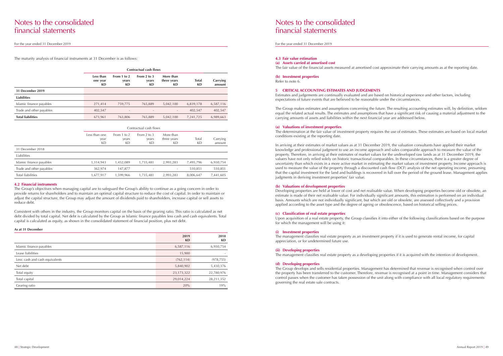For the year ended 31 December 2019

## Notes to the consolidated financial statements

#### For the year ended 31 December 2019

The maturity analysis of financial instruments at 31 December is as follows:

|                          | Contractual cash flows      |                            |                                |                                |                    |                    |
|--------------------------|-----------------------------|----------------------------|--------------------------------|--------------------------------|--------------------|--------------------|
|                          | Less than<br>one year<br>KD | From 1 to 2<br>years<br>KD | From $2$ to $3$<br>years<br>KD | More than<br>three years<br>KD | <b>Total</b><br>KD | Carrying<br>amount |
| 31 December 2019         |                             |                            |                                |                                |                    |                    |
| <b>Liabilities</b>       |                             |                            |                                |                                |                    |                    |
| Islamic finance payables | 271,414                     | 759,775                    | 765,889                        | 5,042,100                      | 6,839,178          | 6,587,116          |
| Trade and other payables | 402,547                     | $\overline{\phantom{a}}$   | $\overline{\phantom{a}}$       | $\overline{\phantom{a}}$       | 402.547            | 402,547            |
| <b>Total liabilities</b> | 673,961                     | 763,806                    | 765,889                        | 5,042,100                      | 7,241,725          | 6,989,663          |

|                          |                             | Contractual cash flows     |                            |                                |                    |                    |
|--------------------------|-----------------------------|----------------------------|----------------------------|--------------------------------|--------------------|--------------------|
|                          | Less than one<br>year<br>KD | From 1 to 2<br>years<br>KD | From 2 to 3<br>years<br>KD | More than<br>three years<br>KD | Total<br><b>KD</b> | Carrying<br>amount |
| 31 December 2018         |                             |                            |                            |                                |                    |                    |
| Liabilities              |                             |                            |                            |                                |                    |                    |
| Islamic finance payables | 1,314,943                   | 1,452,089                  | 1,735,481                  | 2,993,283                      | 7,495,796          | 6,930,754          |
| Trade and other payables | 362,974                     | 147,877                    | $\overline{\phantom{a}}$   | $\overline{\phantom{a}}$       | 510,851            | 510,851            |
| <b>Total liabilities</b> | 1,677,917                   | 1,599,966                  | 1,735,481                  | 2,993,283                      | 8,006,647          | 7,441,605          |

#### **4.2 Financial instruments**

The Group's objectives when managing capital are to safeguard the Group's ability to continue as a going concern in order to provide returns for shareholders and to maintain an optimal capital structure to reduce the cost of capital. In order to maintain or adjust the capital structure, the Group may adjust the amount of dividends paid to shareholders, increase capital or sell assets to reduce debt.

Consistent with others in the industry, the Group monitors capital on the basis of the gearing ratio. This ratio is calculated as net debt divided by total capital. Net debt is calculated by the Group as Islamic finance payables less cash and cash equivalents. Total capital is calculated as equity, as shown in the consolidated statement of financial position, plus net debt.

#### **As at 31 December**

|                                 | 2019<br><b>KD</b> | 2018<br>KD |
|---------------------------------|-------------------|------------|
| Islamic finance payables        | 6,587,116         | 6,930,754  |
| Lease liabilities               | 15,900            |            |
| Less: cash and cash equivalents | (762, 114)        | (978, 755) |
| Net debt                        | 5,840,902         | 5,430,376  |
| Total equity                    | 23, 173, 322      | 22,780,976 |
| Total capital                   | 29,014,224        | 28,211,352 |
| Gearing ratio                   | 20%               | 19%        |

### **4.3 Fair value estimation**

**(a) Assets carried at amortised cost** 

The fair value of the financial assets measured at amortised cost approximate their carrying amounts as at the reporting date.

### **(b) Investment properties**

Refer to note 6.

### **5 CRITICAL ACCOUNTING ESTIMATES AND JUDGEMENTS**

Estimates and judgements are continually evaluated and are based on historical experience and other factors, including expectations of future events that are believed to be reasonable under the circumstances.

The Group makes estimates and assumptions concerning the future. The resulting accounting estimates will, by definition, seldom equal the related actual results. The estimates and assumptions that have a significant risk of causing a material adjustment to the carrying amounts of assets and liabilities within the next financial year are addressed below.

#### **(a) Valuations of investment properties**

The determination at the fair value of investment property requires the use of estimates. These estimates are based on local market conditions existing at the reporting date.

In arriving at their estimates of market values as at 31 December 2019, the valuation consultants have applied their market knowledge and professional judgment to use an income approach and sales comparable approach to measure the value of the property. Therefore, in arriving at their estimates of market values for the undeveloped raw lands as at 31 December 2019, the valuers have not only relied solely on historic transactional comparables. In these circumstances, there is a greater degree of uncertainty than which exists in a more active market in estimating the market values of investment property. Income approach is used to measure the value of the property through a discounted cash flow (DCF) analysis of the net operating income, presuming that the capital investment for the land and buildings is recovered in full over the period of the ground lease. Management applies judgments in deriving investment properties' fair value.

### **(b) Valuations of development properties**

Developing properties are held at lower of cost and net realisable value. When developing properties become old or obsolete, an estimate is made of their net realisable value. For individually significant amounts, this estimation is performed on an individual basis. Amounts which are not individually significant, but which are old or obsolete, are assessed collectively and a provision applied according to the asset type and the degree of ageing or obsolescence, based on historical selling prices.

### **(c) Classification of real estate properties**

Upon acquisition of a real estate property, the Group classifies it into either of the following classifications based on the purpose for which the management will be using it:

### **(i) Investment properties**

The management classifies real estate property as an investment property if it is used to generate rental income, for capital appreciation, or for undetermined future use.

### **(ii) Developing properties**

The management classifies real estate property as a developing properties if it is acquired with the intention of development.

### **(d) Developing properties**

The Group develops and sells residential properties. Management has determined that revenue is recognised when control over the property has been transferred to the customer. Therefore, revenue is recognised at a point in time. Management considers that control passes when the customer has taken possession of the unit along with compliance with all local regulatory requirements governing the real estate sale contracts.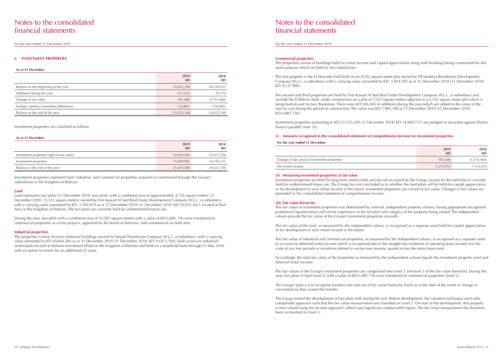For the year ended 31 December 2019

## Notes to the consolidated financial statements

For the year ended 31 December 2019

#### **6 INVESTMENT PROPERTIES**

#### **As at 31 December**

|                                          | 2019<br><b>KD</b> | 2018<br>KD  |
|------------------------------------------|-------------------|-------------|
| Balance at the beginning of the year     | 24,622,100        | 30,236,935  |
| Additions during the year                | 573,533           | 29,710      |
| Change in fair value                     | 501,600           | (5,514,460) |
| Foreign currency translation differences | (22, 885)         | (130, 085)  |
| Balance at the end of the year           | 25,674,348        | 24,622,100  |

#### Investment properties are classified as follows:

#### **As at 31 December**

|                                           | 2019<br>KD | 2018<br>KD |
|-------------------------------------------|------------|------------|
| Investment properties right-of-use assets | 10,664,366 | 10,471,768 |
| Investment properties                     | 15,009,982 | 14,150,332 |
| Balance at the end of the year            | 25,674,348 | 24,622,100 |

During the year, two plots with a combined area of 10.587 square meters with a value of KD 6,881,756 were transferred to commercial properties as active projects, approved by the board of directors, had commenced on both sites.

The properties consist of seven industrial buildings owned by Majaal Warehouse Company W.L.L. (a subsidiary) with a carrying value amounted to KD 10,664,366 as at 31 December 2019 (31 December 2018: KD 10,471,769), built across six industrialzoned plots located at Bahrain Investment Wharf in the Kingdom of Bahrain and held on a leasehold basis through 21 May 2056 with an option to renew for an additional 25 years.

Investment properties represent land, industrial, and commercial properties acquired or constructed through the Group's subsidiaries in the Kingdom of Bahrain.

#### **Land**

Land represents two plots (31 December 2018: four plots) with a combined area of approximately 4,725 square meters (31 December 2018: 15,312 square meters) owned by First Kuwait Al Seef Real Estate Development Company W.L.L. (a subsidiary) with a carrying value amounted to KD 3,102,079 as at 31 December 2019 (31 December 2018: KD 10,012,363), located at Seef Area in the Kingdom of Bahrain. The two plots are currently held for undetermined future use.

#### **Industrial properties**

#### **Commercial properties**

The properties consist of buildings held for rental income and capital appreciation along with buildings being constructed for this same purpose which are held by two subsidiaries.

The first property is the El Mercado Mall built on an 8,052 square meter plot owned by FB Janabiya Residential Development Company W.L.L. (a subsidiary) with a carrying value amounted to KD 3,924,505 as at 31 December 2019 (31 December 2018: KD 4,137,968).

The second and third properties are held by First Kuwait Al Seef Real Estate Development Company W.L.L. (a subsidiary) and include the El Balcón Mall, under construction on a plot of 7,235 square meters adjacent to a 3,352 square meter plot which is being built-to-suit for Jarir Bookstore. There were KD 506,045 in additions during the year which are added to the value of the land at cost during the period of construction. The value was KD 7,983,398 at 31 December 2019 (31 December 2018: KD 6,881,756).

Investment properties amounting to KD 22,572,269 (31 December 2018: KD 14,609,737) are pledged as securities against Islamic finance payable (note 14).

#### **(i) Amounts recognised in the consolidated statement of comprehensive income for investment properties**

**For the year ended 31 December**

Change in fair value of Investment properties

Net rental income

| 2019<br>KD | 2018<br>KD  |
|------------|-------------|
| 501,600    | (5,514,460) |
| 1,276,953  | 1,154,610   |

#### **(ii) Measuring investment properties at fair value**

Investment properties are held for long-term rental yields and are not occupied by the Group, except for the land that is currently held for undetermined future use. The Group has not concluded as to whether the land plots will be held-for-capital appreciation or for development to earn rental income in the future. Investment properties are carried at fair value. Changes in fair values are presented in the consolidated statement of comprehensive income.

#### **(iii) Fair value hierarchy**

The fair value of investment properties was determined by external, independent property valuers, having appropriate recognised professional qualifications and recent experience in the location and category of the property being valued. The independent valuers provide the fair value of the Group's investment properties annually.

The fair value of the land, as measured by the independent valuers, is recognised as a separate asset held-for-capital appreciation or for development to earn rental income in the future.

The fair value of industrial and commercial properties, as measured by the independent valuers, is recognised as a separate asset to account for deferred rental income which is recognised due to the straight-line treatment of operating lease income less the costs of any free periods or incentives offered to secure new tenants, spread across the entire lease term.

Accordingly, the total fair value of the properties as measured by the independent valuers equals the investment property asset and deferred rental income.

The fair values of the Group's investment properties are categorised into Level 2 and level 3 of the fair value hierarchy. During the year, two plots of land (level 2) with a value of KD 6,881,756 were transferred to commercial properties (level 3).

The Group's policy is to recognise transfers into and out of fair value hierarchy levels as at the date of the event or change in circumstances that caused the transfer.

The Group started the development of two plots with during the year. Before development, the valuation technique used sales comparable approach such that the fair value measurement was classified as Level 2. On start of the development, this property is now valued using the income approach, which uses significant unobservable inputs. The fair value measurement has therefore been reclassified to Level 3.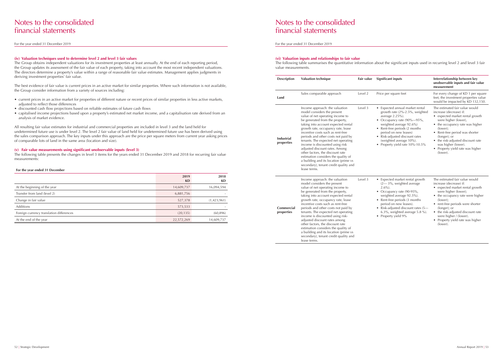- 
- 
- 
- 
- 
- 
- 
- 
- 
- 
- 
- 

For the year ended 31 December 2019

## Notes to the consolidated financial statements

For the year ended 31 December 2019

#### **(iv) Valuation techniques used to determine level 2 and level 3 fair values**

The Group obtains independent valuations for its investment properties at least annually. At the end of each reporting period, the Group updates its assessment of the fair value of each property, taking into account the most recent independent valuations. The directors determine a property's value within a range of reasonable fair value estimates. Management applies judgments in deriving investment properties' fair value.

The best evidence of fair value is current prices in an active market for similar properties. Where such information is not available, the Group consider information from a variety of sources including:

- current prices in an active market for properties of different nature or recent prices of similar properties in less active markets, adjusted to reflect those differences
- discounted cash flow projections based on reliable estimates of future cash flows
- capitalised income projections based upon a property's estimated net market income, and a capitalisation rate derived from an analysis of market evidence.

All resulting fair value estimates for industrial and commercial properties are included in level 3 and the land held for undetermined future use is under level 2. The level 2 fair value of land held for undetermined future use has been derived using the sales comparison approach. The key inputs under this approach are the price per square meters from current year asking prices of comparable lots of land in the same area (location and size).

#### **(v) Fair value measurements using significant unobservable inputs (level 3)**

The following table presents the changes in level 3 items for the years ended 31 December 2019 and 2018 for recurring fair value measurements:

#### **For the year ended 31 December**

|                                          | 2019<br><b>KD</b> | 2018<br>KD  |
|------------------------------------------|-------------------|-------------|
| At the beginning of the year             | 14,609,737        | 16,094,594  |
| Transfer from land (level 2)             | 6,881,756         |             |
| Change in fair value                     | 527,378           | (1,423,961) |
| <b>Additions</b>                         | 573,533           |             |
| Foreign currency translation differences | (20, 135)         | (60, 896)   |
| At the end of the year                   | 22,572,269        | 14,609,737  |

#### **(vi) Valuation inputs and relationships to fair value**

The following table summarises the quantitative information about the significant inputs used in recurring level 2 and level 3 fair value measurements.

| <b>Description</b>              | Valuation technique                                                                                                                                                                                                                                                                                                                                                                                                                                                                                                                                                                    | Fair value | <b>Significant inputs</b>                                                                                                                                                                                                                                                                             | Interrelationship between key<br>unobservable inputs and fair value<br>measurement                                                                                                                                                                                                                                                      |
|---------------------------------|----------------------------------------------------------------------------------------------------------------------------------------------------------------------------------------------------------------------------------------------------------------------------------------------------------------------------------------------------------------------------------------------------------------------------------------------------------------------------------------------------------------------------------------------------------------------------------------|------------|-------------------------------------------------------------------------------------------------------------------------------------------------------------------------------------------------------------------------------------------------------------------------------------------------------|-----------------------------------------------------------------------------------------------------------------------------------------------------------------------------------------------------------------------------------------------------------------------------------------------------------------------------------------|
| Land                            | Sales comparable approach                                                                                                                                                                                                                                                                                                                                                                                                                                                                                                                                                              | Level 2    | Price per square feet                                                                                                                                                                                                                                                                                 | For every change of KD 1 per square<br>feet, the investment properties value<br>would be impacted by KD 132,150.                                                                                                                                                                                                                        |
| <b>Industrial</b><br>properties | Income approach: the valuation<br>model considers the present<br>value of net operating income to<br>be generated from the property,<br>taking into account expected rental<br>growth rate, occupancy rate, lease<br>incentive costs such as rent-free<br>periods and other costs not paid by<br>tenants. The expected net operating<br>income is discounted using risk<br>adjusted discount rates. Among<br>other factors, the discount rate<br>estimation considers the quality of<br>a building and its location (prime vs<br>secondary), tenant credit quality and<br>lease terms. | Level 3    | • Expected annual market rental<br>growth rate (2%-2.5%, weighted<br>average 2.25%).<br>• Occupancy rate (90%-95%,<br>weighted average 92.6%)<br>• Rent-free periods (2 months<br>period on new leases)<br>• Risk-adjusted discount rates<br>(weighted average 10%).<br>Property yield rate 10%-10.5% | The estimated fair value would<br>increase (decrease) if:<br>• expected market rental growth<br>were higher (lower),<br>• the occupancy rate was higher<br>(lower);<br>• Rent-free period was shorter<br>(longer); or<br>• the risk-adjusted discount rate<br>was higher (lower).<br>• Property yield rate was higher<br>(lower).       |
| <b>Commercial</b><br>properties | Income approach: the valuation<br>model considers the present<br>value of net operating income to<br>be generated from the property,<br>taking into account expected rental<br>growth rate, occupancy rate, lease<br>incentive costs such as rent-free<br>periods and other costs not paid by<br>tenants. The expected net operating<br>income is discounted using risk-<br>adjusted discount rates among<br>other factors, the discount rate<br>estimation considers the quality of<br>a building and its location (prime vs<br>secondary), tenant credit quality and<br>lease terms. | Level 3    | • Expected market rental growth<br>$(2 - 3\%$ , weighted average<br>$2.6\%$ ).<br>• Occupancy rate (90-95%,<br>weighted average 92.5%).<br>• Rent-free periods (3 months<br>period on new leases).<br>• Risk-adjusted discount rates (5-<br>6.3%, weighted average 5.8 %).<br>• Property yield 9%     | The estimated fair value would<br>increase (decrease) if:<br>• expected market rental growth<br>were higher (lower);<br>• the occupancy rate were higher<br>(lower);<br>• rent-free periods were shorter<br>(longer); or<br>• the risk-adjusted discount rate<br>were higher / (lower).<br>• Property yield rate was higher<br>(lower). |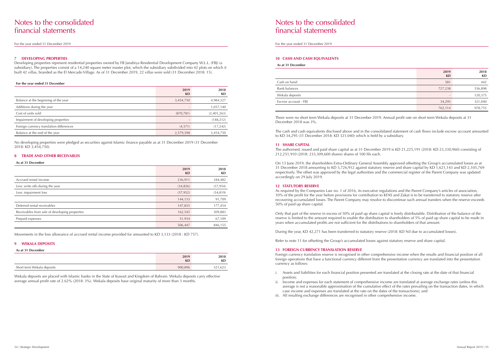For the year ended 31 December 2019

## Notes to the consolidated financial statements

For the year ended 31 December 2019

#### **7 DEVELOPING PROPERTIES**

Developing properties represent residential properties owned by FB Janabiya Residential Development Company W.L.L. (FBJ) (a subsidiary). The properties consist of a 14,240 square meter master plot, which the subsidiary subdivided into 42 plots on which it built 42 villas, branded as the El Mercado Village. As of 31 December 2019, 22 villas were sold (31 December 2018: 15).

#### **For the year ended 31 December**

|                                          | 2019<br><b>KD</b> | 2018<br><b>KD</b> |
|------------------------------------------|-------------------|-------------------|
| Balance at the beginning of the year     | 3,454,750         | 4,984,327         |
| Additions during the year                |                   | 1,037,140         |
| Cost of units sold                       | (870, 781)        | (2,401,263)       |
| Impairment of developing properties      |                   | (148, 212)        |
| Foreign currency translation differences | (4, 571)          | (17, 242)         |
| Balance at the end of the year           | 2,579,398         | 3,454,750         |

No developing properties were pledged as securities against Islamic finance payable as at 31 December 2019 (31 December 2018: KD 3,454,750).

#### **8 TRADE AND OTHER RECEIVABLES**

#### **As at 31 December**

|                                                | 2019<br>KD | 2018<br><b>KD</b> |
|------------------------------------------------|------------|-------------------|
| Accrued rental income                          | 236,911    | 184,482           |
| Less: write offs during the year               | (34, 826)  | (37, 954)         |
| Less: impairment loss                          | (57, 952)  | (54, 819)         |
|                                                | 144,133    | 91,709            |
| Deferred rental receivables                    | 147,835    | 177,454           |
| Receivables from sale of developing properties | 162,545    | 509,883           |
| Prepaid expenses                               | 51,934     | 67,109            |
|                                                | 506,447    | 846,155           |

Movements in the loss allowance of accrued rental income provided for amounted to KD 3,133 (2018 : KD 757).

#### **9 WEKALA DEPOSITS**

| As at 31 December          |            |                   |  |  |  |
|----------------------------|------------|-------------------|--|--|--|
|                            | 2019<br>KD | 2018<br><b>KD</b> |  |  |  |
| Short term Wekala deposits | 900,896    | 521,623           |  |  |  |

Wekala deposits are placed with Islamic banks in the State of Kuwait and Kingdom of Bahrain. Wekala deposits carry effective average annual profit rate of 2.62% (2018: 3%). Wekala deposits have original maturity of more than 3 months.

#### **10 CASH AND CASH EQUIVALENTS**

| As at 31 December    |            |            |  |
|----------------------|------------|------------|--|
|                      | 2019<br>KD | 2018<br>KD |  |
| Cash on hand         | 581        | 442        |  |
| <b>Bank balances</b> | 727,238    | 536,898    |  |
| Wekala deposits      |            | 120,375    |  |
| Escrow account - FBJ | 34,295     | 321,040    |  |
|                      | 762,114    | 978,755    |  |

There were no short term Wekala deposits at 31 December 2019. Annual profit rate on short term Wekala deposits at 31 December 2018 was 3%.

The cash and cash equivalents disclosed above and in the consolidated statement of cash flows include escrow account amounted to KD 34,295 (31 December 2018: KD 321,040) which is held by a subsidiary.

#### **11 SHARE CAPITAL**

The authorised, issued and paid share capital as at 31 December 2019 is KD 21,225,191 (2018: KD 23,330,960) consisting of 212,251,910 (2018: 233,309,600 shares) shares of 100 fils each.

On 13 June 2019, the shareholders Extra-Ordinary General Assembly approved offsetting the Group's accumulated losses as at 31 December 2018 amounting to KD 3,726,912 against statutory reserve and share capital by KD 1,621,143 and KD 2,105,769 respectively. The offset was approved by the legal authorities and the commercial register of the Parent Company was updated accordingly on 29 July 2019.

#### **12 STATUTORY RESERVE**

As required by the Companies Law no. 1 of 2016, its executive regulations and the Parent Company's articles of association, 10% of the profit for the year before provisions for contribution to KFAS and Zakat is to be transferred to statutory reserve after recovering accumulated losses. The Parent Company may resolve to discontinue such annual transfers when the reserve exceeds 50% of paid up share capital.

Only that part of the reserve in excess of 50% of paid up share capital is freely distributable. Distribution of the balance of the reserve is limited to the amount required to enable the distribution to shareholders of 5% of paid up share capital to be made in years when accumulated profits are not sufficient for the distributions to shareholders of that amount.

During the year, KD 42,271 has been transferred to statutory reserve (2018: KD Nil due to accumulated losses).

Refer to note 11 for offsetting the Group's accumulated losses against statutory reserve and share capital.

#### **13 FOREIGN CURRENCY TRANSLATION RESERVE**

Foreign currency translation reserve is recognised in other comprehensive income when the results and financial position of all foreign operations that have a functional currency different from the presentation currency are translated into the presentation currency as follows:

ii. Income and expenses for each statement of comprehensive income are translated at average exchange rates (unless this average is not a reasonable approximation of the cumulative effect of the rates prevailing on the transaction dates, in which

- i. Assets and liabilities for each financial position presented are translated at the closing rate at the date of that financial position;
- case income and expenses are translated at the rate on the dates of the transactions); and
- iii. All resulting exchange differences are recognised in other comprehensive income.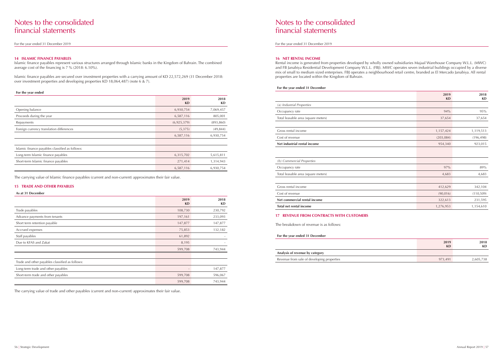For the year ended 31 December 2019

## Notes to the consolidated financial statements

For the year ended 31 December 2019

#### **14 ISLAMIC FINANCE PAYABLES**

Islamic finance payables represent various structures arranged through Islamic banks in the Kingdom of Bahrain. The combined average cost of the financing is 7 % (2018: 6.10%).

Islamic finance payables are secured over investment properties with a carrying amount of KD 22,572,269 (31 December 2018: over investment properties and developing properties KD 18,064,487) (note 6 & 7).

#### **For the year ended**

|                                                 | 2019<br>KD  | 2018<br>KD |
|-------------------------------------------------|-------------|------------|
| Opening balance                                 | 6,930,754   | 7,069,457  |
| Proceeds during the year                        | 6,587,116   | 805,001    |
| Repayments                                      | (6,925,379) | (893, 860) |
| Foreign currency translation differences        | (5,375)     | (49, 844)  |
|                                                 | 6,587,116   | 6,930,754  |
|                                                 |             |            |
| Islamic finance payables classified as follows: |             |            |
| Long-term Islamic finance payables              | 6,315,702   | 5,615,811  |
| Short-term Islamic finance payables             | 271,414     | 1,314,943  |
|                                                 | 6,587,116   | 6,930,754  |

The carrying value of Islamic finance payables (current and non-current) approximates their fair value.

#### **15 TRADE AND OTHER PAYABLES**

#### **As at 31 December**

|                                                 | 2019<br>KD        | 2018<br><b>KD</b> |
|-------------------------------------------------|-------------------|-------------------|
| Trade payables                                  | 108,730           | 230,792           |
| Advance payments from tenants                   | 197,161           | 233,093           |
| Short term retention payable                    | 147,877           | 147,877           |
| Accrued expenses                                | 75,853            | 132,182           |
| Staff payables                                  | 61,892            |                   |
| Due to KFAS and Zakat                           | 8,195             |                   |
|                                                 | 599,708           | 743,944           |
|                                                 |                   |                   |
| Trade and other payables classified as follows: |                   |                   |
| Long-term trade and other payables              | $\qquad \qquad =$ | 147,877           |
| Short-term trade and other payables             | 599,708           | 596,067           |
|                                                 | 599,708           | 743,944           |

The carrying value of trade and other payables (current and non-current) approximates their fair value.

### **16 NET RENTAL INCOME**

Rental income is generated from properties developed by wholly owned subsidiaries Majaal Warehouse Company W.L.L. (MWC) and FB Janabiya Residential Development Company W.L.L. (FBJ). MWC operates seven industrial buildings occupied by a diverse mix of small to medium sized enterprises. FBJ operates a neighbourhood retail centre, branded as El Mercado Janabiya. All rental properties are located within the Kingdom of Bahrain.

|                                                                                                                                                                                                        | 2019<br><b>KD</b> | 2018<br>KD |
|--------------------------------------------------------------------------------------------------------------------------------------------------------------------------------------------------------|-------------------|------------|
| (a) Industrial Properties                                                                                                                                                                              |                   |            |
| Occupancy rate                                                                                                                                                                                         | 94%               | 95%        |
| Total leasable area (square meters)                                                                                                                                                                    | 37,654            | 37,654     |
| Gross rental income<br>Cost of revenue<br>Net industrial rental income<br>(b) Commercial Properties<br>Occupancy rate<br>Total leasable area (square meters)<br>Gross rental income<br>Cost of revenue |                   |            |
|                                                                                                                                                                                                        | 1,157,424         | 1,119,513  |
|                                                                                                                                                                                                        | (203, 084)        | (196, 498) |
|                                                                                                                                                                                                        | 954,340           | 923,015    |
|                                                                                                                                                                                                        |                   |            |
|                                                                                                                                                                                                        |                   |            |
|                                                                                                                                                                                                        | 97%               | 89%        |
|                                                                                                                                                                                                        | 4,683             | 4,683      |
|                                                                                                                                                                                                        |                   |            |
|                                                                                                                                                                                                        | 412,629           | 342,104    |
|                                                                                                                                                                                                        | (90,016)          | (110, 509) |
| Net commercial rental income                                                                                                                                                                           | 322,613           | 231,595    |
| Total net rental income                                                                                                                                                                                | 1,276,953         | 1,154,610  |

## **For the year ended 31 December** *(a) Industrial Properties* Occupancy rate Total leasable area (square meters) Gross rental income Cost of revenue **Net industrial rental income** *(b) Commercial Properties*  Occupancy rate Total leasable area (square meters) Gross rental income **Net commercial rental income Total net rental income 17 REVENUE FROM CONTRACTS WITH CUSTOMERS**  The breakdown of revenue is as follows: **For the year ended 31 December**

| 2019<br>KD | 2018<br><b>KD</b> |
|------------|-------------------|
|            |                   |
| 973,491    | 2,605,738         |

#### **Analysis of revenue by category**

Revenue from sale of developing properties